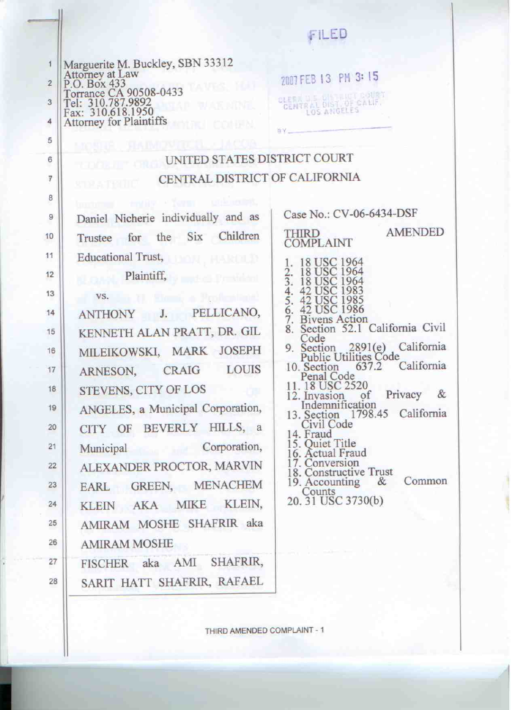|                                                                                                                                                                                                                | FILED                                                                                                                                                                                        |
|----------------------------------------------------------------------------------------------------------------------------------------------------------------------------------------------------------------|----------------------------------------------------------------------------------------------------------------------------------------------------------------------------------------------|
| Marguerite M. Buckley, SBN 33312<br>Attorney at Law<br>P.O. Box 433<br>T.O. Box 433<br>Torrance CA 90508-0433<br>Tel: 310.787.9892<br>Fax: 310.618.1950<br><b>MYAP WARNINE.</b><br>Attorney for Plaintiffs     | 2007 FEB 13 PM 3:15<br>CLERK ILE DISTRICTIONST                                                                                                                                               |
| MOSHE SMIMOVITCH JACOB<br>UNITED STATES DISTRICT COURT                                                                                                                                                         |                                                                                                                                                                                              |
| TERRE JUT<br>CENTRAL DISTRICT OF CALIFORNIA                                                                                                                                                                    |                                                                                                                                                                                              |
| ste sterile                                                                                                                                                                                                    |                                                                                                                                                                                              |
| burbang treas form the costs<br>Daniel Nicherie individually and as                                                                                                                                            | Case No.: CV-06-6434-DSF                                                                                                                                                                     |
| Trustee for the Six Children                                                                                                                                                                                   | <b>AMENDED</b><br><b>THIRD</b><br><b>COMPLAINT</b>                                                                                                                                           |
| Educational Trust,<br>$\mathbf{p}_{\text{max}}$ Plaintiff, $\mathbf{p}_{\text{max}}$ provident<br>vs. Il simo a Profesione<br>ANTHONY J. PELLICANO,<br>KENNETH ALAN PRATT, DR. GIL<br>MILEIKOWSKI, MARK JOSEPH | 18 USC 1964<br>2. 18 USC 1964<br>3. 18 USC 1964<br>42 USC 1983<br>42 USC 1985<br>6. 42 USC 1986<br>7. Bivens Action<br>8. Section 52.1 California Civi<br>Code<br>Section 2891(e) California |

**LOUIS** 

CRAIG

ANGELES, a Municipal Corporation,

CITY OF BEVERLY HILLS, a

ALEXANDER PROCTOR, MARVIN

EARL GREEN, MENACHEM

KLEIN AKA MIKE KLEIN,

AMIRAM MOSHE SHAFRIR aka

FISCHER aka AMI SHAFRIR,

SARIT HATT SHAFRIR, RAFAEL

Corporation,

STEVENS, CITY OF LOS

**Public Utilities Code** 637.2 California 10. Section

- Penal Code 11.18 USC 2520
- 12. Invasion of Privacy  $\&$ Indemnification
- 13. Section 1798.45 California Civil Code
- 14. Fraud
- 15. Quiet Title
- 16. Actual Fraud
- 
- 17. Conversion<br>18. Constructive Trust<br>19. Accounting & Common Counts
- 20. 31 USC 3730(b)

ARNESON,

Municipal

**AMIRAM MOSHE** 

 $\overline{1}$ 

 $\overline{c}$ 

3

4

THIRD AMENDED COMPLAINT - 1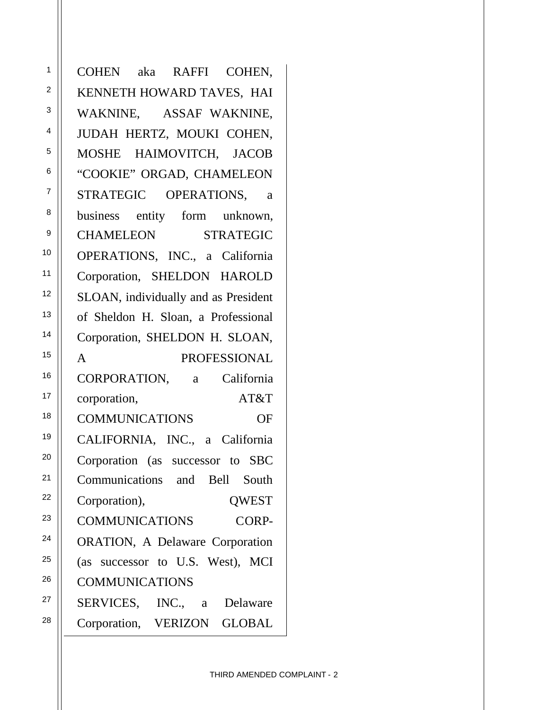COHEN aka RAFFI COHEN, KENNETH HOWARD TAVES, HAI WAKNINE, ASSAF WAKNINE, JUDAH HERTZ, MOUKI COHEN, MOSHE HAIMOVITCH, JACOB "COOKIE" ORGAD, CHAMELEON STRATEGIC OPERATIONS, a business entity form unknown, CHAMELEON STRATEGIC OPERATIONS, INC., a California Corporation, SHELDON HAROLD SLOAN, individually and as President of Sheldon H. Sloan, a Professional Corporation, SHELDON H. SLOAN, A PROFESSIONAL CORPORATION, a California corporation, AT&T COMMUNICATIONS OF CALIFORNIA, INC., a California Corporation (as successor to SBC Communications and Bell South Corporation), QWEST COMMUNICATIONS CORP-ORATION, A Delaware Corporation (as successor to U.S. West), MCI COMMUNICATIONS SERVICES, INC., a Delaware Corporation, VERIZON GLOBAL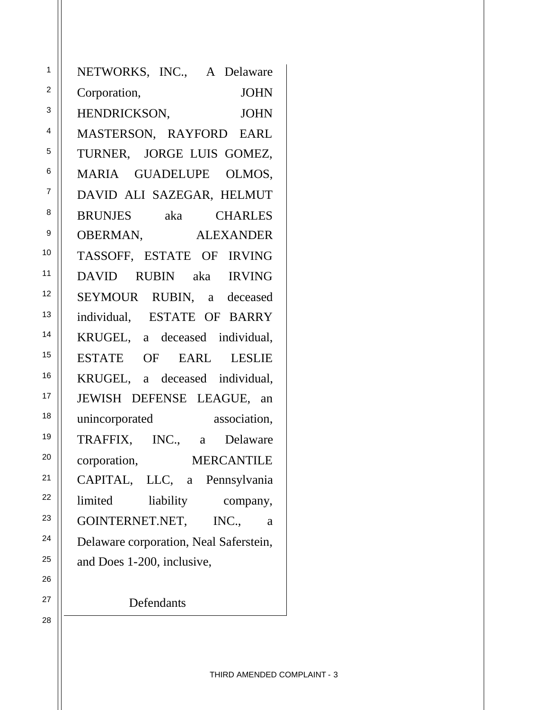NETWORKS, INC., A Delaware Corporation, JOHN HENDRICKSON, JOHN MASTERSON, RAYFORD EARL TURNER, JORGE LUIS GOMEZ, MARIA GUADELUPE OLMOS, DAVID ALI SAZEGAR, HELMUT BRUNJES aka CHARLES OBERMAN, ALEXANDER TASSOFF, ESTATE OF IRVING DAVID RUBIN aka IRVING SEYMOUR RUBIN, a deceased individual, ESTATE OF BARRY KRUGEL, a deceased individual, ESTATE OF EARL LESLIE KRUGEL, a deceased individual, JEWISH DEFENSE LEAGUE, an unincorporated association, TRAFFIX, INC., a Delaware corporation, MERCANTILE CAPITAL, LLC, a Pennsylvania limited liability company, GOINTERNET.NET, INC., a Delaware corporation, Neal Saferstein, and Does 1-200, inclusive,

**Defendants**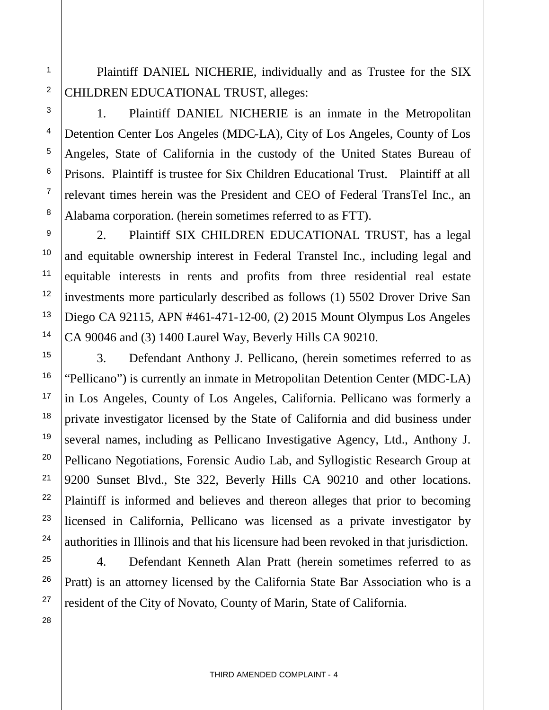Plaintiff DANIEL NICHERIE, individually and as Trustee for the SIX CHILDREN EDUCATIONAL TRUST, alleges:

1. Plaintiff DANIEL NICHERIE is an inmate in the Metropolitan Detention Center Los Angeles (MDC-LA), City of Los Angeles, County of Los Angeles, State of California in the custody of the United States Bureau of Prisons. Plaintiff is trustee for Six Children Educational Trust. Plaintiff at all relevant times herein was the President and CEO of Federal TransTel Inc., an Alabama corporation. (herein sometimes referred to as FTT).

2. Plaintiff SIX CHILDREN EDUCATIONAL TRUST, has a legal and equitable ownership interest in Federal Transtel Inc., including legal and equitable interests in rents and profits from three residential real estate investments more particularly described as follows (1) 5502 Drover Drive San Diego CA 92115, APN #461-471-12-00, (2) 2015 Mount Olympus Los Angeles CA 90046 and (3) 1400 Laurel Way, Beverly Hills CA 90210.

3. Defendant Anthony J. Pellicano, (herein sometimes referred to as "Pellicano") is currently an inmate in Metropolitan Detention Center (MDC-LA) in Los Angeles, County of Los Angeles, California. Pellicano was formerly a private investigator licensed by the State of California and did business under several names, including as Pellicano Investigative Agency, Ltd., Anthony J. Pellicano Negotiations, Forensic Audio Lab, and Syllogistic Research Group at 9200 Sunset Blvd., Ste 322, Beverly Hills CA 90210 and other locations. Plaintiff is informed and believes and thereon alleges that prior to becoming licensed in California, Pellicano was licensed as a private investigator by authorities in Illinois and that his licensure had been revoked in that jurisdiction.

4. Defendant Kenneth Alan Pratt (herein sometimes referred to as Pratt) is an attorney licensed by the California State Bar Association who is a resident of the City of Novato, County of Marin, State of California.

1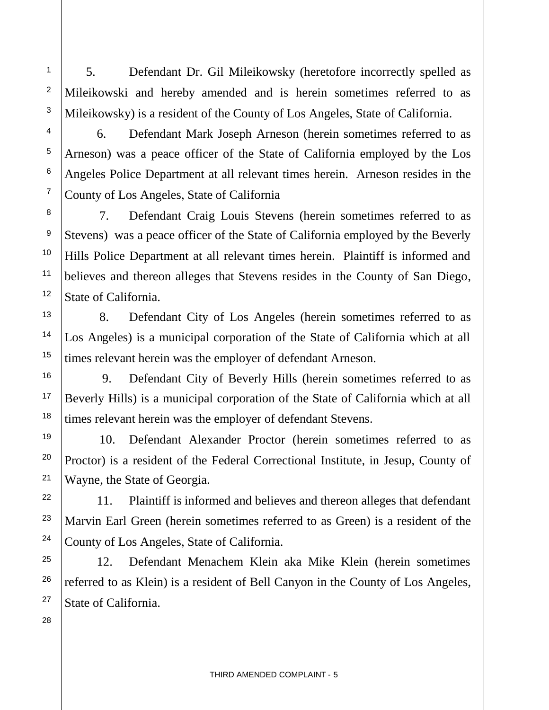5. Defendant Dr. Gil Mileikowsky (heretofore incorrectly spelled as Mileikowski and hereby amended and is herein sometimes referred to as Mileikowsky) is a resident of the County of Los Angeles, State of California.

6. Defendant Mark Joseph Arneson (herein sometimes referred to as Arneson) was a peace officer of the State of California employed by the Los Angeles Police Department at all relevant times herein. Arneson resides in the County of Los Angeles, State of California

7. Defendant Craig Louis Stevens (herein sometimes referred to as Stevens) was a peace officer of the State of California employed by the Beverly Hills Police Department at all relevant times herein. Plaintiff is informed and believes and thereon alleges that Stevens resides in the County of San Diego, State of California.

8. Defendant City of Los Angeles (herein sometimes referred to as Los Angeles) is a municipal corporation of the State of California which at all times relevant herein was the employer of defendant Arneson.

9. Defendant City of Beverly Hills (herein sometimes referred to as Beverly Hills) is a municipal corporation of the State of California which at all times relevant herein was the employer of defendant Stevens.

10. Defendant Alexander Proctor (herein sometimes referred to as Proctor) is a resident of the Federal Correctional Institute, in Jesup, County of Wayne, the State of Georgia.

11. Plaintiff is informed and believes and thereon alleges that defendant Marvin Earl Green (herein sometimes referred to as Green) is a resident of the County of Los Angeles, State of California.

12. Defendant Menachem Klein aka Mike Klein (herein sometimes referred to as Klein) is a resident of Bell Canyon in the County of Los Angeles, State of California.

28

1

2

3

4

5

6

7

8

9

10

11

12

13

14

15

16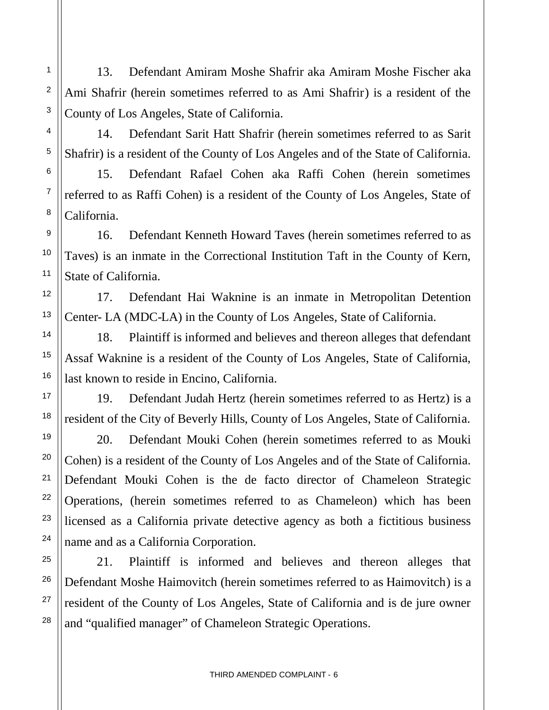13. Defendant Amiram Moshe Shafrir aka Amiram Moshe Fischer aka Ami Shafrir (herein sometimes referred to as Ami Shafrir) is a resident of the County of Los Angeles, State of California.

1

2

3

4

5

6

7

8

9

10

11

12

13

14

15

16

17

18

19

20

21

22

23

24

25

26

27

28

14. Defendant Sarit Hatt Shafrir (herein sometimes referred to as Sarit Shafrir) is a resident of the County of Los Angeles and of the State of California.

15. Defendant Rafael Cohen aka Raffi Cohen (herein sometimes referred to as Raffi Cohen) is a resident of the County of Los Angeles, State of California.

16. Defendant Kenneth Howard Taves (herein sometimes referred to as Taves) is an inmate in the Correctional Institution Taft in the County of Kern, State of California.

17. Defendant Hai Waknine is an inmate in Metropolitan Detention Center- LA (MDC-LA) in the County of Los Angeles, State of California.

18. Plaintiff is informed and believes and thereon alleges that defendant Assaf Waknine is a resident of the County of Los Angeles, State of California, last known to reside in Encino, California.

19. Defendant Judah Hertz (herein sometimes referred to as Hertz) is a resident of the City of Beverly Hills, County of Los Angeles, State of California.

20. Defendant Mouki Cohen (herein sometimes referred to as Mouki Cohen) is a resident of the County of Los Angeles and of the State of California. Defendant Mouki Cohen is the de facto director of Chameleon Strategic Operations, (herein sometimes referred to as Chameleon) which has been licensed as a California private detective agency as both a fictitious business name and as a California Corporation.

21. Plaintiff is informed and believes and thereon alleges that Defendant Moshe Haimovitch (herein sometimes referred to as Haimovitch) is a resident of the County of Los Angeles, State of California and is de jure owner and "qualified manager" of Chameleon Strategic Operations.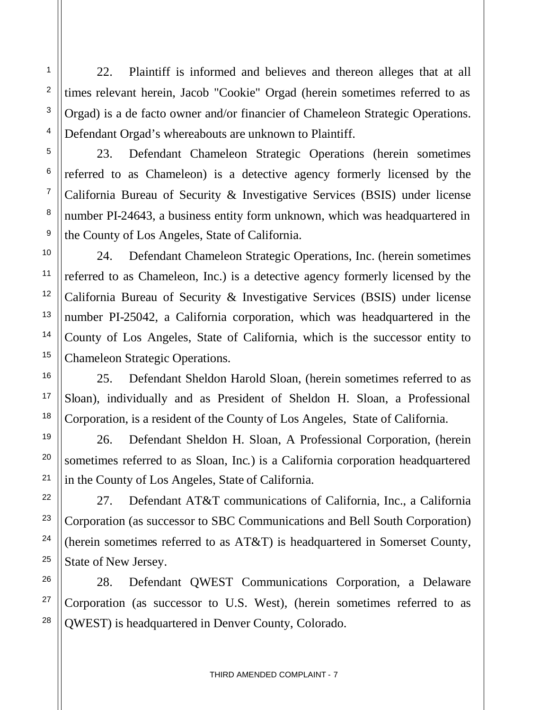22. Plaintiff is informed and believes and thereon alleges that at all times relevant herein, Jacob "Cookie" Orgad (herein sometimes referred to as Orgad) is a de facto owner and/or financier of Chameleon Strategic Operations. Defendant Orgad's whereabouts are unknown to Plaintiff.

23. Defendant Chameleon Strategic Operations (herein sometimes referred to as Chameleon) is a detective agency formerly licensed by the California Bureau of Security & Investigative Services (BSIS) under license number PI-24643, a business entity form unknown, which was headquartered in the County of Los Angeles, State of California.

24. Defendant Chameleon Strategic Operations, Inc. (herein sometimes referred to as Chameleon, Inc.) is a detective agency formerly licensed by the California Bureau of Security & Investigative Services (BSIS) under license number PI-25042, a California corporation, which was headquartered in the County of Los Angeles, State of California, which is the successor entity to Chameleon Strategic Operations.

25. Defendant Sheldon Harold Sloan, (herein sometimes referred to as Sloan), individually and as President of Sheldon H. Sloan, a Professional Corporation, is a resident of the County of Los Angeles, State of California.

26. Defendant Sheldon H. Sloan, A Professional Corporation, (herein sometimes referred to as Sloan, Inc.) is a California corporation headquartered in the County of Los Angeles, State of California.

27. Defendant AT&T communications of California, Inc., a California Corporation (as successor to SBC Communications and Bell South Corporation) (herein sometimes referred to as AT&T) is headquartered in Somerset County, State of New Jersey.

28. Defendant QWEST Communications Corporation, a Delaware Corporation (as successor to U.S. West), (herein sometimes referred to as QWEST) is headquartered in Denver County, Colorado.

1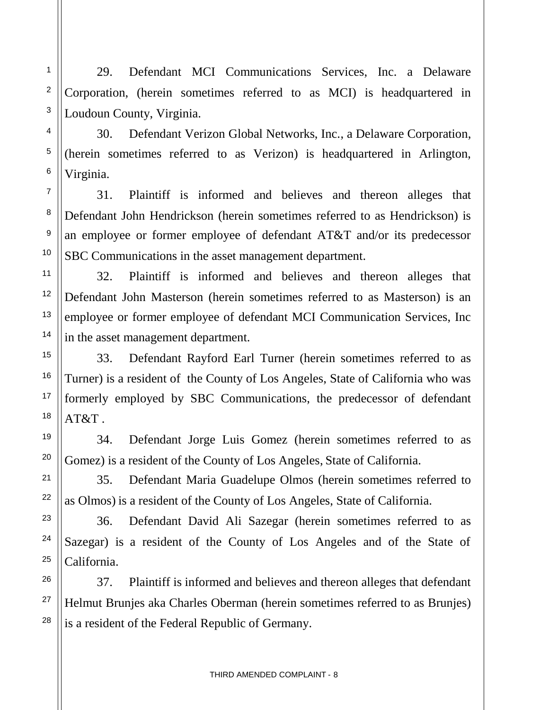29. Defendant MCI Communications Services, Inc. a Delaware Corporation, (herein sometimes referred to as MCI) is headquartered in Loudoun County, Virginia.

30. Defendant Verizon Global Networks, Inc., a Delaware Corporation, (herein sometimes referred to as Verizon) is headquartered in Arlington, Virginia.

31. Plaintiff is informed and believes and thereon alleges that Defendant John Hendrickson (herein sometimes referred to as Hendrickson) is an employee or former employee of defendant AT&T and/or its predecessor SBC Communications in the asset management department.

32. Plaintiff is informed and believes and thereon alleges that Defendant John Masterson (herein sometimes referred to as Masterson) is an employee or former employee of defendant MCI Communication Services, Inc in the asset management department.

33. Defendant Rayford Earl Turner (herein sometimes referred to as Turner) is a resident of the County of Los Angeles, State of California who was formerly employed by SBC Communications, the predecessor of defendant  $AT&T$ .

34. Defendant Jorge Luis Gomez (herein sometimes referred to as Gomez) is a resident of the County of Los Angeles, State of California.

35. Defendant Maria Guadelupe Olmos (herein sometimes referred to as Olmos) is a resident of the County of Los Angeles, State of California.

36. Defendant David Ali Sazegar (herein sometimes referred to as Sazegar) is a resident of the County of Los Angeles and of the State of California.

37. Plaintiff is informed and believes and thereon alleges that defendant Helmut Brunjes aka Charles Oberman (herein sometimes referred to as Brunjes) is a resident of the Federal Republic of Germany.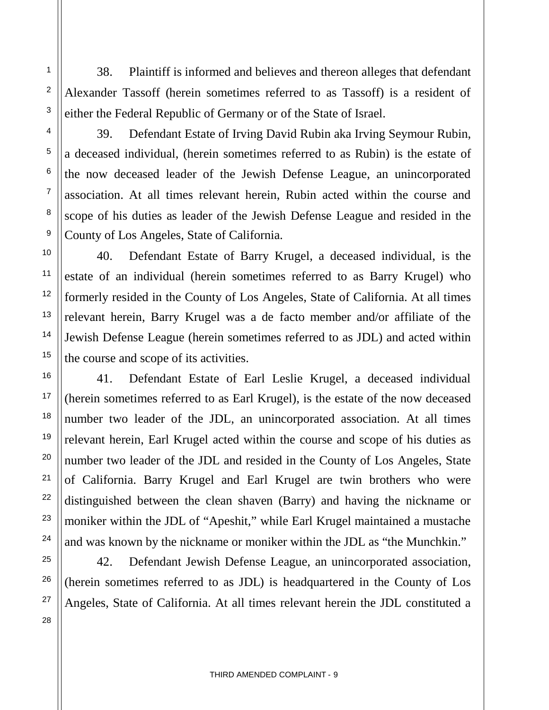38. Plaintiff is informed and believes and thereon alleges that defendant Alexander Tassoff (herein sometimes referred to as Tassoff) is a resident of either the Federal Republic of Germany or of the State of Israel.

39. Defendant Estate of Irving David Rubin aka Irving Seymour Rubin, a deceased individual, (herein sometimes referred to as Rubin) is the estate of the now deceased leader of the Jewish Defense League, an unincorporated association. At all times relevant herein, Rubin acted within the course and scope of his duties as leader of the Jewish Defense League and resided in the County of Los Angeles, State of California.

40. Defendant Estate of Barry Krugel, a deceased individual, is the estate of an individual (herein sometimes referred to as Barry Krugel) who formerly resided in the County of Los Angeles, State of California. At all times relevant herein, Barry Krugel was a de facto member and/or affiliate of the Jewish Defense League (herein sometimes referred to as JDL) and acted within the course and scope of its activities.

41. Defendant Estate of Earl Leslie Krugel, a deceased individual (herein sometimes referred to as Earl Krugel), is the estate of the now deceased number two leader of the JDL, an unincorporated association. At all times relevant herein, Earl Krugel acted within the course and scope of his duties as number two leader of the JDL and resided in the County of Los Angeles, State of California. Barry Krugel and Earl Krugel are twin brothers who were distinguished between the clean shaven (Barry) and having the nickname or moniker within the JDL of "Apeshit," while Earl Krugel maintained a mustache and was known by the nickname or moniker within the JDL as "the Munchkin."

42. Defendant Jewish Defense League, an unincorporated association, (herein sometimes referred to as JDL) is headquartered in the County of Los Angeles, State of California. At all times relevant herein the JDL constituted a

1

2

3

4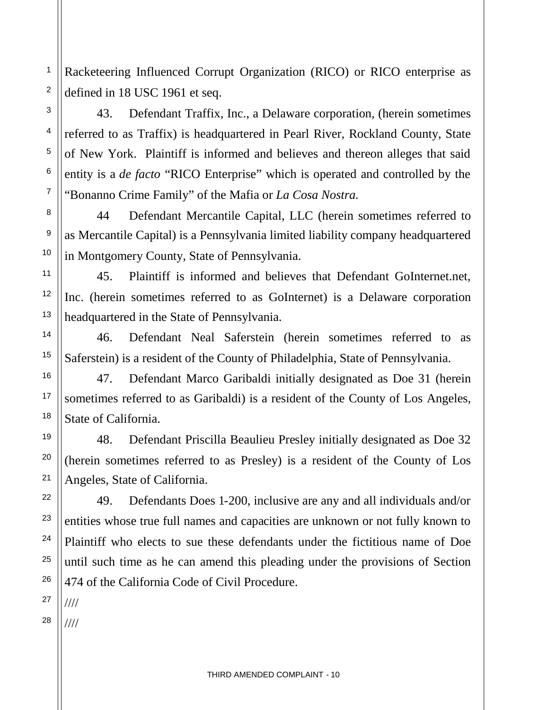2 Racketeering Influenced Corrupt Organization (RICO) or RICO enterprise as defined in 18 USC 1961 et seq.

43. Defendant Traffix, Inc., a Delaware corporation, (herein sometimes referred to as Traffix) is headquartered in Pearl River, Rockland County, State of New York. Plaintiff is informed and believes and thereon alleges that said entity is a *de facto* "RICO Enterprise" which is operated and controlled by the "Bonanno Crime Family" of the Mafia or *La Cosa Nostra.*

44 Defendant Mercantile Capital, LLC (herein sometimes referred to as Mercantile Capital) is a Pennsylvania limited liability company headquartered in Montgomery County, State of Pennsylvania.

45. Plaintiff is informed and believes that Defendant GoInternet.net, Inc. (herein sometimes referred to as GoInternet) is a Delaware corporation headquartered in the State of Pennsylvania.

46. Defendant Neal Saferstein (herein sometimes referred to as Saferstein) is a resident of the County of Philadelphia, State of Pennsylvania.

47. Defendant Marco Garibaldi initially designated as Doe 31 (herein sometimes referred to as Garibaldi) is a resident of the County of Los Angeles, State of California.

48. Defendant Priscilla Beaulieu Presley initially designated as Doe 32 (herein sometimes referred to as Presley) is a resident of the County of Los Angeles, State of California.

49. Defendants Does 1-200, inclusive are any and all individuals and/or entities whose true full names and capacities are unknown or not fully known to Plaintiff who elects to sue these defendants under the fictitious name of Doe until such time as he can amend this pleading under the provisions of Section 474 of the California Code of Civil Procedure.

27 ////

1

3

4

5

6

7

8

9

10

11

12

13

14

15

16

17

18

19

20

21

22

23

24

25

26

28 ////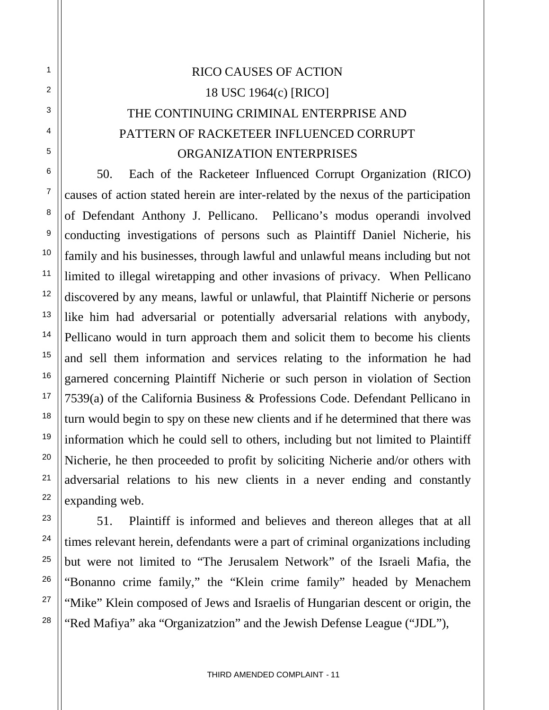# RICO CAUSES OF ACTION 18 USC 1964(c) [RICO] THE CONTINUING CRIMINAL ENTERPRISE AND PATTERN OF RACKETEER INFLUENCED CORRUPT ORGANIZATION ENTERPRISES

1

2

3

4

5

6

7

8

9

10

11

12

13

14

15

16

17

18

19

20

21

22

23

24

25

26

27

28

50. Each of the Racketeer Influenced Corrupt Organization (RICO) causes of action stated herein are inter-related by the nexus of the participation of Defendant Anthony J. Pellicano. Pellicano's modus operandi involved conducting investigations of persons such as Plaintiff Daniel Nicherie, his family and his businesses, through lawful and unlawful means including but not limited to illegal wiretapping and other invasions of privacy. When Pellicano discovered by any means, lawful or unlawful, that Plaintiff Nicherie or persons like him had adversarial or potentially adversarial relations with anybody, Pellicano would in turn approach them and solicit them to become his clients and sell them information and services relating to the information he had garnered concerning Plaintiff Nicherie or such person in violation of Section 7539(a) of the California Business & Professions Code. Defendant Pellicano in turn would begin to spy on these new clients and if he determined that there was information which he could sell to others, including but not limited to Plaintiff Nicherie, he then proceeded to profit by soliciting Nicherie and/or others with adversarial relations to his new clients in a never ending and constantly expanding web.

51. Plaintiff is informed and believes and thereon alleges that at all times relevant herein, defendants were a part of criminal organizations including but were not limited to "The Jerusalem Network" of the Israeli Mafia, the "Bonanno crime family," the "Klein crime family" headed by Menachem "Mike" Klein composed of Jews and Israelis of Hungarian descent or origin, the "Red Mafiya" aka "Organizatzion" and the Jewish Defense League ("JDL"),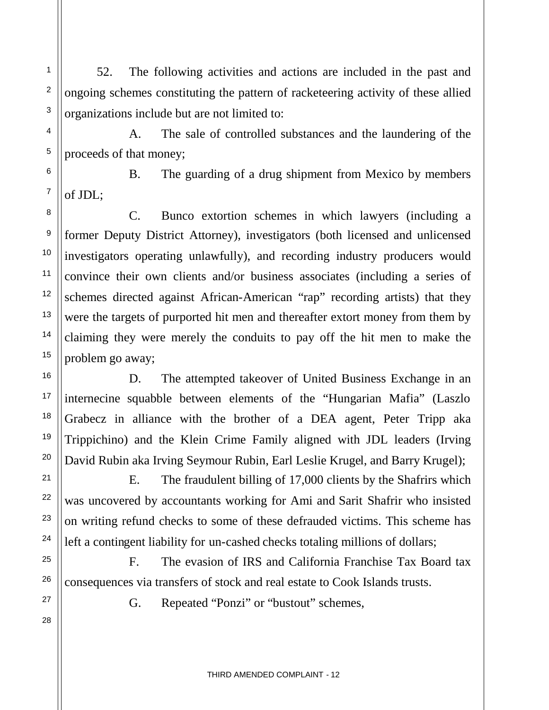52. The following activities and actions are included in the past and ongoing schemes constituting the pattern of racketeering activity of these allied organizations include but are not limited to:

A. The sale of controlled substances and the laundering of the proceeds of that money;

B. The guarding of a drug shipment from Mexico by members of JDL;

C. Bunco extortion schemes in which lawyers (including a former Deputy District Attorney), investigators (both licensed and unlicensed investigators operating unlawfully), and recording industry producers would convince their own clients and/or business associates (including a series of schemes directed against African-American "rap" recording artists) that they were the targets of purported hit men and thereafter extort money from them by claiming they were merely the conduits to pay off the hit men to make the problem go away;

D. The attempted takeover of United Business Exchange in an internecine squabble between elements of the "Hungarian Mafia" (Laszlo Grabecz in alliance with the brother of a DEA agent, Peter Tripp aka Trippichino) and the Klein Crime Family aligned with JDL leaders (Irving David Rubin aka Irving Seymour Rubin, Earl Leslie Krugel, and Barry Krugel);

E. The fraudulent billing of 17,000 clients by the Shafrirs which was uncovered by accountants working for Ami and Sarit Shafrir who insisted on writing refund checks to some of these defrauded victims. This scheme has left a contingent liability for un-cashed checks totaling millions of dollars;

F. The evasion of IRS and California Franchise Tax Board tax consequences via transfers of stock and real estate to Cook Islands trusts.

G. Repeated "Ponzi" or "bustout" schemes,

1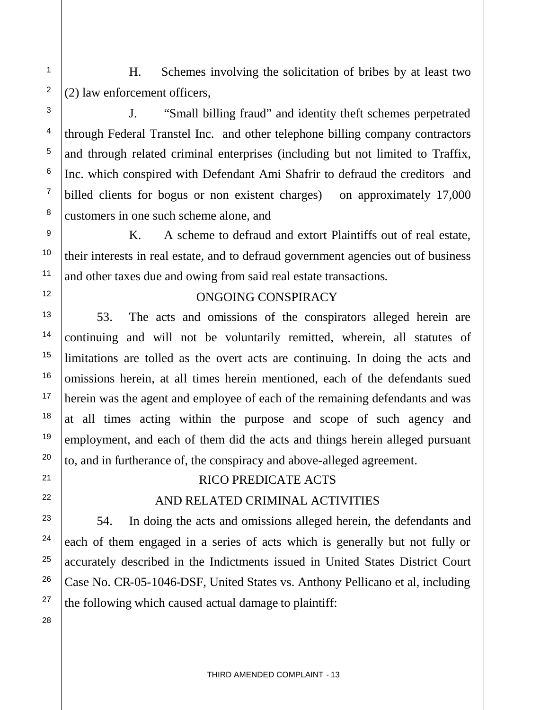H. Schemes involving the solicitation of bribes by at least two (2) law enforcement officers,

J. "Small billing fraud" and identity theft schemes perpetrated through Federal Transtel Inc. and other telephone billing company contractors and through related criminal enterprises (including but not limited to Traffix, Inc. which conspired with Defendant Ami Shafrir to defraud the creditors and billed clients for bogus or non existent charges) on approximately 17,000 customers in one such scheme alone, and

K. A scheme to defraud and extort Plaintiffs out of real estate, their interests in real estate, and to defraud government agencies out of business and other taxes due and owing from said real estate transactions.

#### ONGOING CONSPIRACY

53. The acts and omissions of the conspirators alleged herein are continuing and will not be voluntarily remitted, wherein, all statutes of limitations are tolled as the overt acts are continuing. In doing the acts and omissions herein, at all times herein mentioned, each of the defendants sued herein was the agent and employee of each of the remaining defendants and was at all times acting within the purpose and scope of such agency and employment, and each of them did the acts and things herein alleged pursuant to, and in furtherance of, the conspiracy and above-alleged agreement.

## RICO PREDICATE ACTS

## AND RELATED CRIMINAL ACTIVITIES

54. In doing the acts and omissions alleged herein, the defendants and each of them engaged in a series of acts which is generally but not fully or accurately described in the Indictments issued in United States District Court Case No. CR-05-1046-DSF, United States vs. Anthony Pellicano et al, including the following which caused actual damage to plaintiff:

1

2

3

4

5

6

7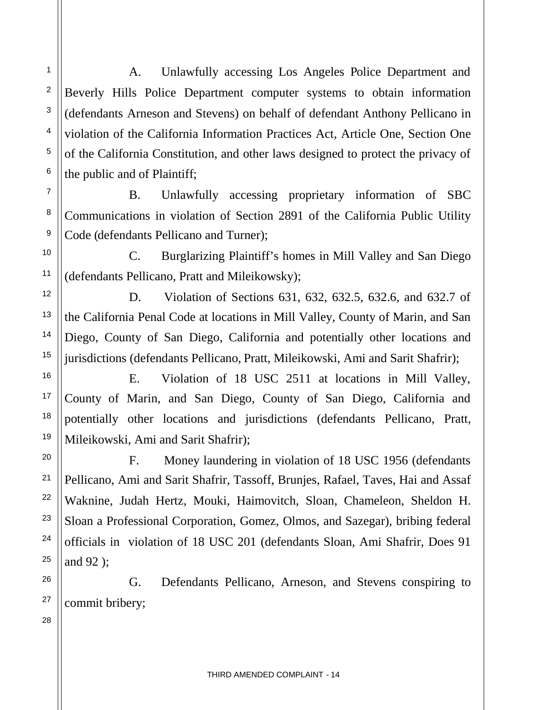A. Unlawfully accessing Los Angeles Police Department and Beverly Hills Police Department computer systems to obtain information (defendants Arneson and Stevens) on behalf of defendant Anthony Pellicano in violation of the California Information Practices Act, Article One, Section One of the California Constitution, and other laws designed to protect the privacy of the public and of Plaintiff;

B. Unlawfully accessing proprietary information of SBC Communications in violation of Section 2891 of the California Public Utility Code (defendants Pellicano and Turner);

C. Burglarizing Plaintiff's homes in Mill Valley and San Diego (defendants Pellicano, Pratt and Mileikowsky);

D. Violation of Sections 631, 632, 632.5, 632.6, and 632.7 of the California Penal Code at locations in Mill Valley, County of Marin, and San Diego, County of San Diego, California and potentially other locations and jurisdictions (defendants Pellicano, Pratt, Mileikowski, Ami and Sarit Shafrir);

E. Violation of 18 USC 2511 at locations in Mill Valley, County of Marin, and San Diego, County of San Diego, California and potentially other locations and jurisdictions (defendants Pellicano, Pratt, Mileikowski, Ami and Sarit Shafrir);

F. Money laundering in violation of 18 USC 1956 (defendants Pellicano, Ami and Sarit Shafrir, Tassoff, Brunjes, Rafael, Taves, Hai and Assaf Waknine, Judah Hertz, Mouki, Haimovitch, Sloan, Chameleon, Sheldon H. Sloan a Professional Corporation, Gomez, Olmos, and Sazegar), bribing federal officials in violation of 18 USC 201 (defendants Sloan, Ami Shafrir, Does 91 and 92 );

G. Defendants Pellicano, Arneson, and Stevens conspiring to commit bribery;

28

1

2

3

4

5

6

7

8

9

10

11

12

13

14

15

16

17

18

19

20

21

22

23

24

25

26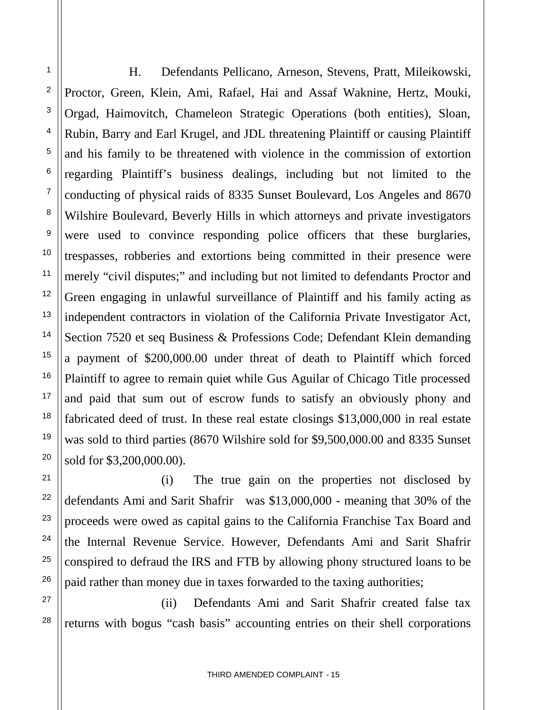H. Defendants Pellicano, Arneson, Stevens, Pratt, Mileikowski, Proctor, Green, Klein, Ami, Rafael, Hai and Assaf Waknine, Hertz, Mouki, Orgad, Haimovitch, Chameleon Strategic Operations (both entities), Sloan, Rubin, Barry and Earl Krugel, and JDL threatening Plaintiff or causing Plaintiff and his family to be threatened with violence in the commission of extortion regarding Plaintiff's business dealings, including but not limited to the conducting of physical raids of 8335 Sunset Boulevard, Los Angeles and 8670 Wilshire Boulevard, Beverly Hills in which attorneys and private investigators were used to convince responding police officers that these burglaries, trespasses, robberies and extortions being committed in their presence were merely "civil disputes;" and including but not limited to defendants Proctor and Green engaging in unlawful surveillance of Plaintiff and his family acting as independent contractors in violation of the California Private Investigator Act, Section 7520 et seq Business & Professions Code; Defendant Klein demanding a payment of \$200,000.00 under threat of death to Plaintiff which forced Plaintiff to agree to remain quiet while Gus Aguilar of Chicago Title processed and paid that sum out of escrow funds to satisfy an obviously phony and fabricated deed of trust. In these real estate closings \$13,000,000 in real estate was sold to third parties (8670 Wilshire sold for \$9,500,000.00 and 8335 Sunset sold for \$3,200,000.00).

(i) The true gain on the properties not disclosed by defendants Ami and Sarit Shafrir was \$13,000,000 - meaning that 30% of the proceeds were owed as capital gains to the California Franchise Tax Board and the Internal Revenue Service. However, Defendants Ami and Sarit Shafrir conspired to defraud the IRS and FTB by allowing phony structured loans to be paid rather than money due in taxes forwarded to the taxing authorities;

(ii) Defendants Ami and Sarit Shafrir created false tax returns with bogus "cash basis" accounting entries on their shell corporations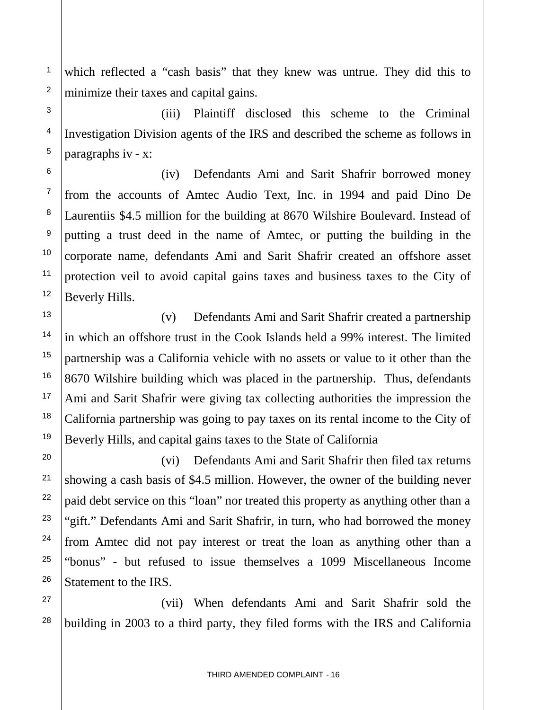which reflected a "cash basis" that they knew was untrue. They did this to minimize their taxes and capital gains.

1

2

3

4

5

6

7

8

9

10

11

12

13

14

15

16

17

18

19

20

21

22

23

24

25

26

27

28

(iii) Plaintiff disclosed this scheme to the Criminal Investigation Division agents of the IRS and described the scheme as follows in paragraphs iv - x:

(iv) Defendants Ami and Sarit Shafrir borrowed money from the accounts of Amtec Audio Text, Inc. in 1994 and paid Dino De Laurentiis \$4.5 million for the building at 8670 Wilshire Boulevard. Instead of putting a trust deed in the name of Amtec, or putting the building in the corporate name, defendants Ami and Sarit Shafrir created an offshore asset protection veil to avoid capital gains taxes and business taxes to the City of Beverly Hills.

(v) Defendants Ami and Sarit Shafrir created a partnership in which an offshore trust in the Cook Islands held a 99% interest. The limited partnership was a California vehicle with no assets or value to it other than the 8670 Wilshire building which was placed in the partnership. Thus, defendants Ami and Sarit Shafrir were giving tax collecting authorities the impression the California partnership was going to pay taxes on its rental income to the City of Beverly Hills, and capital gains taxes to the State of California

(vi) Defendants Ami and Sarit Shafrir then filed tax returns showing a cash basis of \$4.5 million. However, the owner of the building never paid debt service on this "loan" nor treated this property as anything other than a "gift." Defendants Ami and Sarit Shafrir, in turn, who had borrowed the money from Amtec did not pay interest or treat the loan as anything other than a "bonus" - but refused to issue themselves a 1099 Miscellaneous Income Statement to the IRS.

(vii) When defendants Ami and Sarit Shafrir sold the building in 2003 to a third party, they filed forms with the IRS and California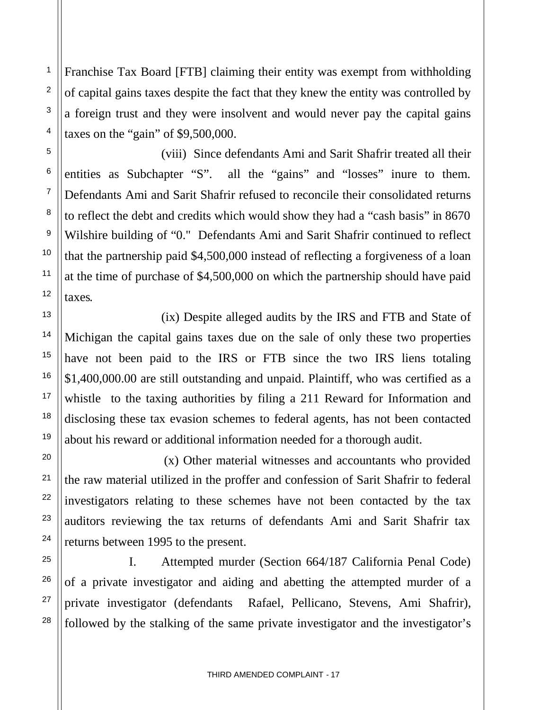Franchise Tax Board [FTB] claiming their entity was exempt from withholding of capital gains taxes despite the fact that they knew the entity was controlled by a foreign trust and they were insolvent and would never pay the capital gains taxes on the "gain" of \$9,500,000.

(viii) Since defendants Ami and Sarit Shafrir treated all their entities as Subchapter "S". all the "gains" and "losses" inure to them. Defendants Ami and Sarit Shafrir refused to reconcile their consolidated returns to reflect the debt and credits which would show they had a "cash basis" in 8670 Wilshire building of "0." Defendants Ami and Sarit Shafrir continued to reflect that the partnership paid \$4,500,000 instead of reflecting a forgiveness of a loan at the time of purchase of \$4,500,000 on which the partnership should have paid taxes.

(ix) Despite alleged audits by the IRS and FTB and State of Michigan the capital gains taxes due on the sale of only these two properties have not been paid to the IRS or FTB since the two IRS liens totaling \$1,400,000.00 are still outstanding and unpaid. Plaintiff, who was certified as a whistle to the taxing authorities by filing a 211 Reward for Information and disclosing these tax evasion schemes to federal agents, has not been contacted about his reward or additional information needed for a thorough audit.

(x) Other material witnesses and accountants who provided the raw material utilized in the proffer and confession of Sarit Shafrir to federal investigators relating to these schemes have not been contacted by the tax auditors reviewing the tax returns of defendants Ami and Sarit Shafrir tax returns between 1995 to the present.

I. Attempted murder (Section 664/187 California Penal Code) of a private investigator and aiding and abetting the attempted murder of a private investigator (defendants Rafael, Pellicano, Stevens, Ami Shafrir), followed by the stalking of the same private investigator and the investigator's

1

2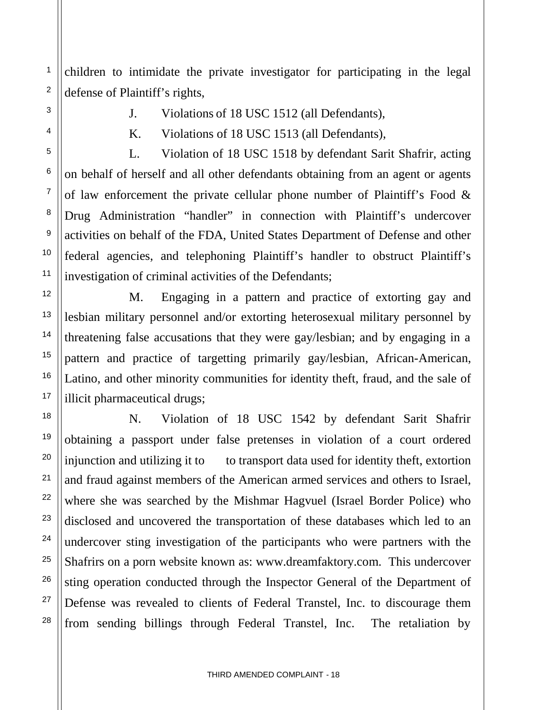children to intimidate the private investigator for participating in the legal defense of Plaintiff's rights,

1

2

3

4

5

6

7

8

9

10

11

12

13

14

15

16

17

18

19

20

21

22

23

24

25

26

27

28

- J. Violations of 18 USC 1512 (all Defendants),
- K. Violations of 18 USC 1513 (all Defendants),

L. Violation of 18 USC 1518 by defendant Sarit Shafrir, acting on behalf of herself and all other defendants obtaining from an agent or agents of law enforcement the private cellular phone number of Plaintiff's Food & Drug Administration "handler" in connection with Plaintiff's undercover activities on behalf of the FDA, United States Department of Defense and other federal agencies, and telephoning Plaintiff's handler to obstruct Plaintiff's investigation of criminal activities of the Defendants;

M. Engaging in a pattern and practice of extorting gay and lesbian military personnel and/or extorting heterosexual military personnel by threatening false accusations that they were gay/lesbian; and by engaging in a pattern and practice of targetting primarily gay/lesbian, African-American, Latino, and other minority communities for identity theft, fraud, and the sale of illicit pharmaceutical drugs;

N. Violation of 18 USC 1542 by defendant Sarit Shafrir obtaining a passport under false pretenses in violation of a court ordered injunction and utilizing it to transport data used for identity theft, extortion and fraud against members of the American armed services and others to Israel, where she was searched by the Mishmar Hagvuel (Israel Border Police) who disclosed and uncovered the transportation of these databases which led to an undercover sting investigation of the participants who were partners with the Shafrirs on a porn website known as: www.dreamfaktory.com. This undercover sting operation conducted through the Inspector General of the Department of Defense was revealed to clients of Federal Transtel, Inc. to discourage them from sending billings through Federal Transtel, Inc. The retaliation by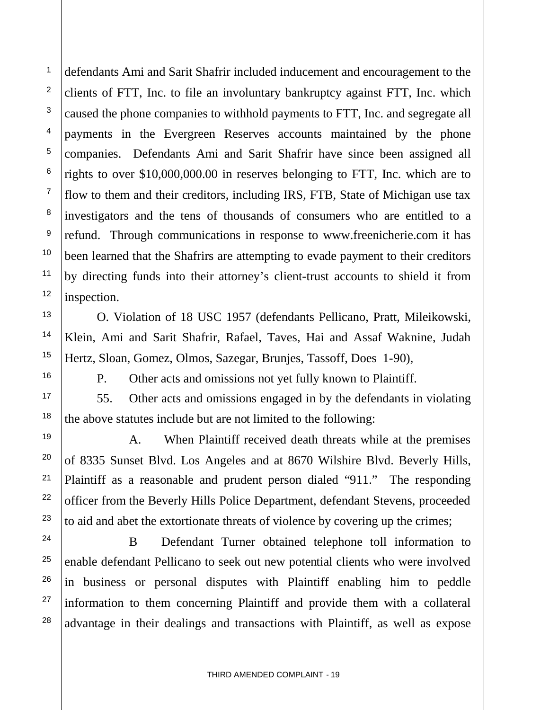defendants Ami and Sarit Shafrir included inducement and encouragement to the clients of FTT, Inc. to file an involuntary bankruptcy against FTT, Inc. which caused the phone companies to withhold payments to FTT, Inc. and segregate all payments in the Evergreen Reserves accounts maintained by the phone companies. Defendants Ami and Sarit Shafrir have since been assigned all rights to over \$10,000,000.00 in reserves belonging to FTT, Inc. which are to flow to them and their creditors, including IRS, FTB, State of Michigan use tax investigators and the tens of thousands of consumers who are entitled to a refund. Through communications in response to www.freenicherie.com it has been learned that the Shafrirs are attempting to evade payment to their creditors by directing funds into their attorney's client-trust accounts to shield it from inspection.

O. Violation of 18 USC 1957 (defendants Pellicano, Pratt, Mileikowski, Klein, Ami and Sarit Shafrir, Rafael, Taves, Hai and Assaf Waknine, Judah Hertz, Sloan, Gomez, Olmos, Sazegar, Brunjes, Tassoff, Does 1-90),

1

2

3

4

5

6

7

8

9

10

11

12

13

14

15

16

17

18

19

20

21

22

23

24

25

26

27

28

P. Other acts and omissions not yet fully known to Plaintiff.

55. Other acts and omissions engaged in by the defendants in violating the above statutes include but are not limited to the following:

A. When Plaintiff received death threats while at the premises of 8335 Sunset Blvd. Los Angeles and at 8670 Wilshire Blvd. Beverly Hills, Plaintiff as a reasonable and prudent person dialed "911." The responding officer from the Beverly Hills Police Department, defendant Stevens, proceeded to aid and abet the extortionate threats of violence by covering up the crimes;

B Defendant Turner obtained telephone toll information to enable defendant Pellicano to seek out new potential clients who were involved in business or personal disputes with Plaintiff enabling him to peddle information to them concerning Plaintiff and provide them with a collateral advantage in their dealings and transactions with Plaintiff, as well as expose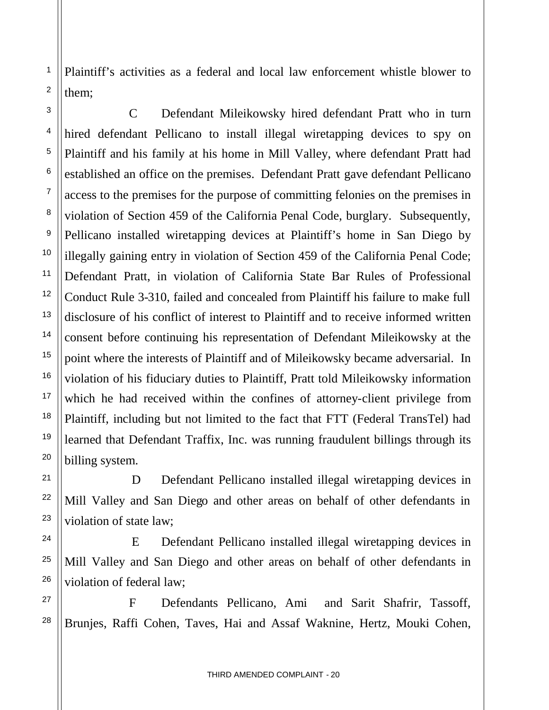Plaintiff's activities as a federal and local law enforcement whistle blower to them;

1

2

3

4

5

6

7

8

9

10

11

12

13

14

15

16

17

18

19

20

21

22

23

24

25

26

27

28

C Defendant Mileikowsky hired defendant Pratt who in turn hired defendant Pellicano to install illegal wiretapping devices to spy on Plaintiff and his family at his home in Mill Valley, where defendant Pratt had established an office on the premises. Defendant Pratt gave defendant Pellicano access to the premises for the purpose of committing felonies on the premises in violation of Section 459 of the California Penal Code, burglary. Subsequently, Pellicano installed wiretapping devices at Plaintiff's home in San Diego by illegally gaining entry in violation of Section 459 of the California Penal Code; Defendant Pratt, in violation of California State Bar Rules of Professional Conduct Rule 3-310, failed and concealed from Plaintiff his failure to make full disclosure of his conflict of interest to Plaintiff and to receive informed written consent before continuing his representation of Defendant Mileikowsky at the point where the interests of Plaintiff and of Mileikowsky became adversarial. In violation of his fiduciary duties to Plaintiff, Pratt told Mileikowsky information which he had received within the confines of attorney-client privilege from Plaintiff, including but not limited to the fact that FTT (Federal TransTel) had learned that Defendant Traffix, Inc. was running fraudulent billings through its billing system.

D Defendant Pellicano installed illegal wiretapping devices in Mill Valley and San Diego and other areas on behalf of other defendants in violation of state law;

E Defendant Pellicano installed illegal wiretapping devices in Mill Valley and San Diego and other areas on behalf of other defendants in violation of federal law;

F Defendants Pellicano, Ami and Sarit Shafrir, Tassoff, Brunjes, Raffi Cohen, Taves, Hai and Assaf Waknine, Hertz, Mouki Cohen,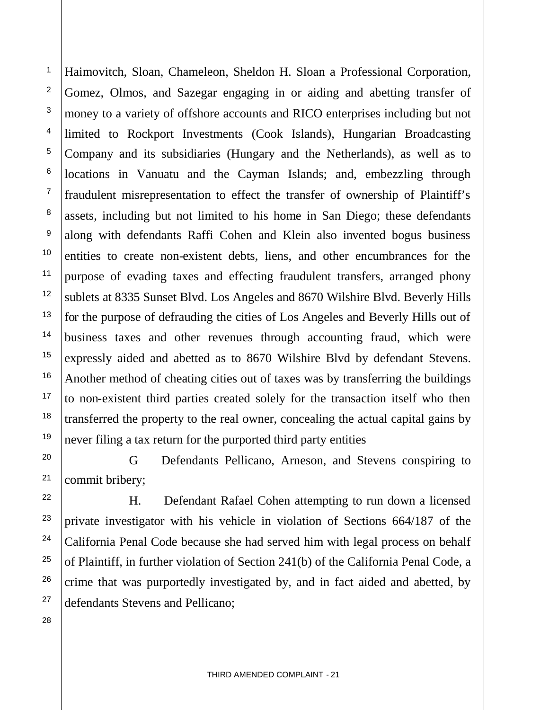Haimovitch, Sloan, Chameleon, Sheldon H. Sloan a Professional Corporation, Gomez, Olmos, and Sazegar engaging in or aiding and abetting transfer of money to a variety of offshore accounts and RICO enterprises including but not limited to Rockport Investments (Cook Islands), Hungarian Broadcasting Company and its subsidiaries (Hungary and the Netherlands), as well as to locations in Vanuatu and the Cayman Islands; and, embezzling through fraudulent misrepresentation to effect the transfer of ownership of Plaintiff's assets, including but not limited to his home in San Diego; these defendants along with defendants Raffi Cohen and Klein also invented bogus business entities to create non-existent debts, liens, and other encumbrances for the purpose of evading taxes and effecting fraudulent transfers, arranged phony sublets at 8335 Sunset Blvd. Los Angeles and 8670 Wilshire Blvd. Beverly Hills for the purpose of defrauding the cities of Los Angeles and Beverly Hills out of business taxes and other revenues through accounting fraud, which were expressly aided and abetted as to 8670 Wilshire Blvd by defendant Stevens. Another method of cheating cities out of taxes was by transferring the buildings to non-existent third parties created solely for the transaction itself who then transferred the property to the real owner, concealing the actual capital gains by never filing a tax return for the purported third party entities

G Defendants Pellicano, Arneson, and Stevens conspiring to commit bribery;

H. Defendant Rafael Cohen attempting to run down a licensed private investigator with his vehicle in violation of Sections 664/187 of the California Penal Code because she had served him with legal process on behalf of Plaintiff, in further violation of Section 241(b) of the California Penal Code, a crime that was purportedly investigated by, and in fact aided and abetted, by defendants Stevens and Pellicano;

28

1

2

3

4

5

6

7

8

9

10

11

12

13

14

15

16

17

18

19

20

21

22

23

24

<sup>26</sup> 27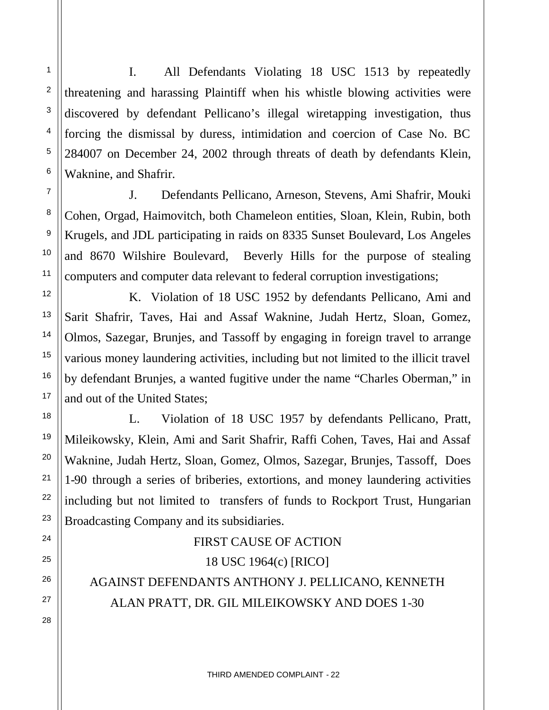I. All Defendants Violating 18 USC 1513 by repeatedly threatening and harassing Plaintiff when his whistle blowing activities were discovered by defendant Pellicano's illegal wiretapping investigation, thus forcing the dismissal by duress, intimidation and coercion of Case No. BC 284007 on December 24, 2002 through threats of death by defendants Klein, Waknine, and Shafrir.

J. Defendants Pellicano, Arneson, Stevens, Ami Shafrir, Mouki Cohen, Orgad, Haimovitch, both Chameleon entities, Sloan, Klein, Rubin, both Krugels, and JDL participating in raids on 8335 Sunset Boulevard, Los Angeles and 8670 Wilshire Boulevard, Beverly Hills for the purpose of stealing computers and computer data relevant to federal corruption investigations;

K. Violation of 18 USC 1952 by defendants Pellicano, Ami and Sarit Shafrir, Taves, Hai and Assaf Waknine, Judah Hertz, Sloan, Gomez, Olmos, Sazegar, Brunjes, and Tassoff by engaging in foreign travel to arrange various money laundering activities, including but not limited to the illicit travel by defendant Brunjes, a wanted fugitive under the name "Charles Oberman," in and out of the United States;

L. Violation of 18 USC 1957 by defendants Pellicano, Pratt, Mileikowsky, Klein, Ami and Sarit Shafrir, Raffi Cohen, Taves, Hai and Assaf Waknine, Judah Hertz, Sloan, Gomez, Olmos, Sazegar, Brunjes, Tassoff, Does 1-90 through a series of briberies, extortions, and money laundering activities including but not limited to transfers of funds to Rockport Trust, Hungarian Broadcasting Company and its subsidiaries.

# FIRST CAUSE OF ACTION 18 USC 1964(c) [RICO]

AGAINST DEFENDANTS ANTHONY J. PELLICANO, KENNETH ALAN PRATT, DR. GIL MILEIKOWSKY AND DOES 1-30

1

2

3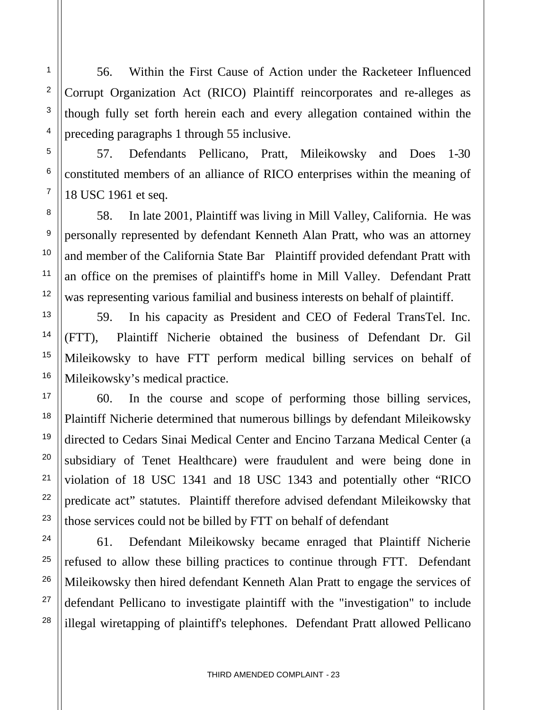56. Within the First Cause of Action under the Racketeer Influenced Corrupt Organization Act (RICO) Plaintiff reincorporates and re-alleges as though fully set forth herein each and every allegation contained within the preceding paragraphs 1 through 55 inclusive.

57. Defendants Pellicano, Pratt, Mileikowsky and Does 1-30 constituted members of an alliance of RICO enterprises within the meaning of 18 USC 1961 et seq.

58. In late 2001, Plaintiff was living in Mill Valley, California. He was personally represented by defendant Kenneth Alan Pratt, who was an attorney and member of the California State Bar Plaintiff provided defendant Pratt with an office on the premises of plaintiff's home in Mill Valley. Defendant Pratt was representing various familial and business interests on behalf of plaintiff.

59. In his capacity as President and CEO of Federal TransTel. Inc. (FTT), Plaintiff Nicherie obtained the business of Defendant Dr. Gil Mileikowsky to have FTT perform medical billing services on behalf of Mileikowsky's medical practice.

60. In the course and scope of performing those billing services, Plaintiff Nicherie determined that numerous billings by defendant Mileikowsky directed to Cedars Sinai Medical Center and Encino Tarzana Medical Center (a subsidiary of Tenet Healthcare) were fraudulent and were being done in violation of 18 USC 1341 and 18 USC 1343 and potentially other "RICO predicate act" statutes. Plaintiff therefore advised defendant Mileikowsky that those services could not be billed by FTT on behalf of defendant

61. Defendant Mileikowsky became enraged that Plaintiff Nicherie refused to allow these billing practices to continue through FTT. Defendant Mileikowsky then hired defendant Kenneth Alan Pratt to engage the services of defendant Pellicano to investigate plaintiff with the "investigation" to include illegal wiretapping of plaintiff's telephones. Defendant Pratt allowed Pellicano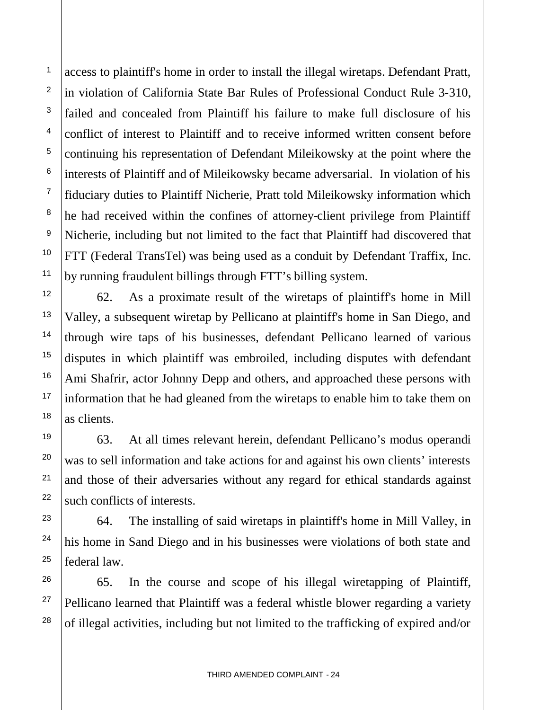access to plaintiff's home in order to install the illegal wiretaps. Defendant Pratt, in violation of California State Bar Rules of Professional Conduct Rule 3-310, failed and concealed from Plaintiff his failure to make full disclosure of his conflict of interest to Plaintiff and to receive informed written consent before continuing his representation of Defendant Mileikowsky at the point where the interests of Plaintiff and of Mileikowsky became adversarial. In violation of his fiduciary duties to Plaintiff Nicherie, Pratt told Mileikowsky information which he had received within the confines of attorney-client privilege from Plaintiff Nicherie, including but not limited to the fact that Plaintiff had discovered that FTT (Federal TransTel) was being used as a conduit by Defendant Traffix, Inc. by running fraudulent billings through FTT's billing system.

62. As a proximate result of the wiretaps of plaintiff's home in Mill Valley, a subsequent wiretap by Pellicano at plaintiff's home in San Diego, and through wire taps of his businesses, defendant Pellicano learned of various disputes in which plaintiff was embroiled, including disputes with defendant Ami Shafrir, actor Johnny Depp and others, and approached these persons with information that he had gleaned from the wiretaps to enable him to take them on as clients.

63. At all times relevant herein, defendant Pellicano's modus operandi was to sell information and take actions for and against his own clients' interests and those of their adversaries without any regard for ethical standards against such conflicts of interests.

64. The installing of said wiretaps in plaintiff's home in Mill Valley, in his home in Sand Diego and in his businesses were violations of both state and federal law.

65. In the course and scope of his illegal wiretapping of Plaintiff, Pellicano learned that Plaintiff was a federal whistle blower regarding a variety of illegal activities, including but not limited to the trafficking of expired and/or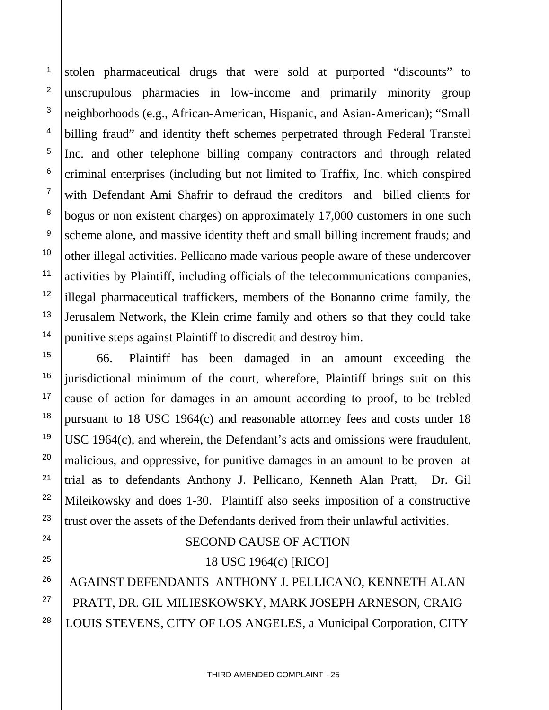stolen pharmaceutical drugs that were sold at purported "discounts" to unscrupulous pharmacies in low-income and primarily minority group neighborhoods (e.g., African-American, Hispanic, and Asian-American); "Small billing fraud" and identity theft schemes perpetrated through Federal Transtel Inc. and other telephone billing company contractors and through related criminal enterprises (including but not limited to Traffix, Inc. which conspired with Defendant Ami Shafrir to defraud the creditors and billed clients for bogus or non existent charges) on approximately 17,000 customers in one such scheme alone, and massive identity theft and small billing increment frauds; and other illegal activities. Pellicano made various people aware of these undercover activities by Plaintiff, including officials of the telecommunications companies, illegal pharmaceutical traffickers, members of the Bonanno crime family, the Jerusalem Network, the Klein crime family and others so that they could take punitive steps against Plaintiff to discredit and destroy him.

66. Plaintiff has been damaged in an amount exceeding the jurisdictional minimum of the court, wherefore, Plaintiff brings suit on this cause of action for damages in an amount according to proof, to be trebled pursuant to 18 USC 1964(c) and reasonable attorney fees and costs under 18 USC 1964(c), and wherein, the Defendant's acts and omissions were fraudulent, malicious, and oppressive, for punitive damages in an amount to be proven at trial as to defendants Anthony J. Pellicano, Kenneth Alan Pratt, Dr. Gil Mileikowsky and does 1-30. Plaintiff also seeks imposition of a constructive trust over the assets of the Defendants derived from their unlawful activities.

## SECOND CAUSE OF ACTION 18 USC 1964(c) [RICO]

AGAINST DEFENDANTS ANTHONY J. PELLICANO, KENNETH ALAN PRATT, DR. GIL MILIESKOWSKY, MARK JOSEPH ARNESON, CRAIG LOUIS STEVENS, CITY OF LOS ANGELES, a Municipal Corporation, CITY

1

2

3

4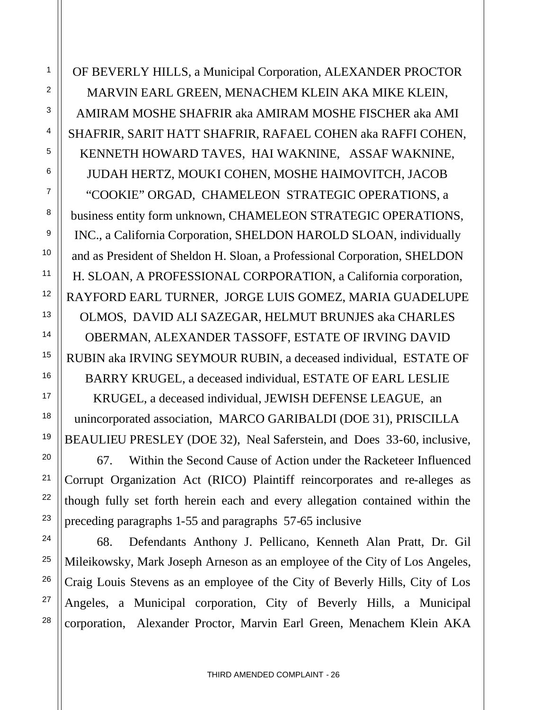OF BEVERLY HILLS, a Municipal Corporation, ALEXANDER PROCTOR MARVIN EARL GREEN, MENACHEM KLEIN AKA MIKE KLEIN, AMIRAM MOSHE SHAFRIR aka AMIRAM MOSHE FISCHER aka AMI SHAFRIR, SARIT HATT SHAFRIR, RAFAEL COHEN aka RAFFI COHEN, KENNETH HOWARD TAVES, HAI WAKNINE, ASSAF WAKNINE, JUDAH HERTZ, MOUKI COHEN, MOSHE HAIMOVITCH, JACOB "COOKIE" ORGAD, CHAMELEON STRATEGIC OPERATIONS, a business entity form unknown, CHAMELEON STRATEGIC OPERATIONS, INC., a California Corporation, SHELDON HAROLD SLOAN, individually and as President of Sheldon H. Sloan, a Professional Corporation, SHELDON H. SLOAN, A PROFESSIONAL CORPORATION, a California corporation, RAYFORD EARL TURNER, JORGE LUIS GOMEZ, MARIA GUADELUPE OLMOS, DAVID ALI SAZEGAR, HELMUT BRUNJES aka CHARLES OBERMAN, ALEXANDER TASSOFF, ESTATE OF IRVING DAVID RUBIN aka IRVING SEYMOUR RUBIN, a deceased individual, ESTATE OF BARRY KRUGEL, a deceased individual, ESTATE OF EARL LESLIE KRUGEL, a deceased individual, JEWISH DEFENSE LEAGUE, an unincorporated association, MARCO GARIBALDI (DOE 31), PRISCILLA BEAULIEU PRESLEY (DOE 32), Neal Saferstein, and Does 33-60, inclusive,

67. Within the Second Cause of Action under the Racketeer Influenced Corrupt Organization Act (RICO) Plaintiff reincorporates and re-alleges as though fully set forth herein each and every allegation contained within the preceding paragraphs 1-55 and paragraphs 57-65 inclusive

68. Defendants Anthony J. Pellicano, Kenneth Alan Pratt, Dr. Gil Mileikowsky, Mark Joseph Arneson as an employee of the City of Los Angeles, Craig Louis Stevens as an employee of the City of Beverly Hills, City of Los Angeles, a Municipal corporation, City of Beverly Hills, a Municipal corporation, Alexander Proctor, Marvin Earl Green, Menachem Klein AKA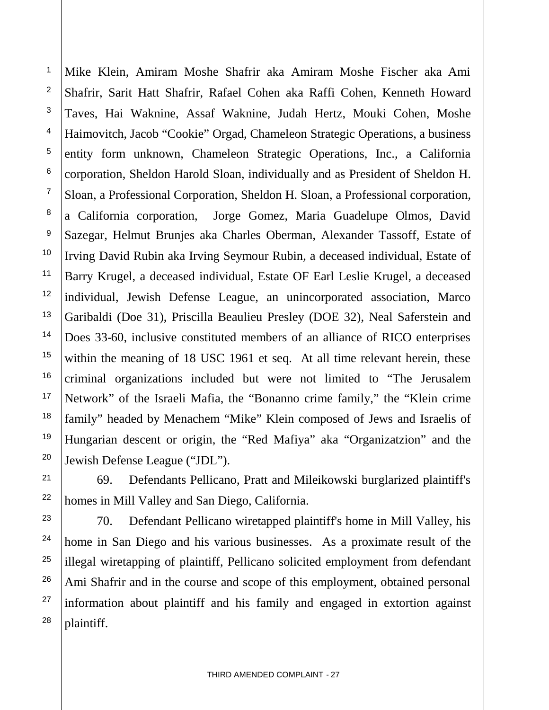Mike Klein, Amiram Moshe Shafrir aka Amiram Moshe Fischer aka Ami Shafrir, Sarit Hatt Shafrir, Rafael Cohen aka Raffi Cohen, Kenneth Howard Taves, Hai Waknine, Assaf Waknine, Judah Hertz, Mouki Cohen, Moshe Haimovitch, Jacob "Cookie" Orgad, Chameleon Strategic Operations, a business entity form unknown, Chameleon Strategic Operations, Inc., a California corporation, Sheldon Harold Sloan, individually and as President of Sheldon H. Sloan, a Professional Corporation, Sheldon H. Sloan, a Professional corporation, a California corporation, Jorge Gomez, Maria Guadelupe Olmos, David Sazegar, Helmut Brunjes aka Charles Oberman, Alexander Tassoff, Estate of Irving David Rubin aka Irving Seymour Rubin, a deceased individual, Estate of Barry Krugel, a deceased individual, Estate OF Earl Leslie Krugel, a deceased individual, Jewish Defense League, an unincorporated association, Marco Garibaldi (Doe 31), Priscilla Beaulieu Presley (DOE 32), Neal Saferstein and Does 33-60, inclusive constituted members of an alliance of RICO enterprises within the meaning of 18 USC 1961 et seq. At all time relevant herein, these criminal organizations included but were not limited to "The Jerusalem Network" of the Israeli Mafia, the "Bonanno crime family," the "Klein crime family" headed by Menachem "Mike" Klein composed of Jews and Israelis of Hungarian descent or origin, the "Red Mafiya" aka "Organizatzion" and the Jewish Defense League ("JDL").

1

2

3

4

5

6

7

8

9

10

11

12

13

14

15

16

17

18

19

20

21

22

23

24

25

26

27

28

69. Defendants Pellicano, Pratt and Mileikowski burglarized plaintiff's homes in Mill Valley and San Diego, California.

70. Defendant Pellicano wiretapped plaintiff's home in Mill Valley, his home in San Diego and his various businesses. As a proximate result of the illegal wiretapping of plaintiff, Pellicano solicited employment from defendant Ami Shafrir and in the course and scope of this employment, obtained personal information about plaintiff and his family and engaged in extortion against plaintiff.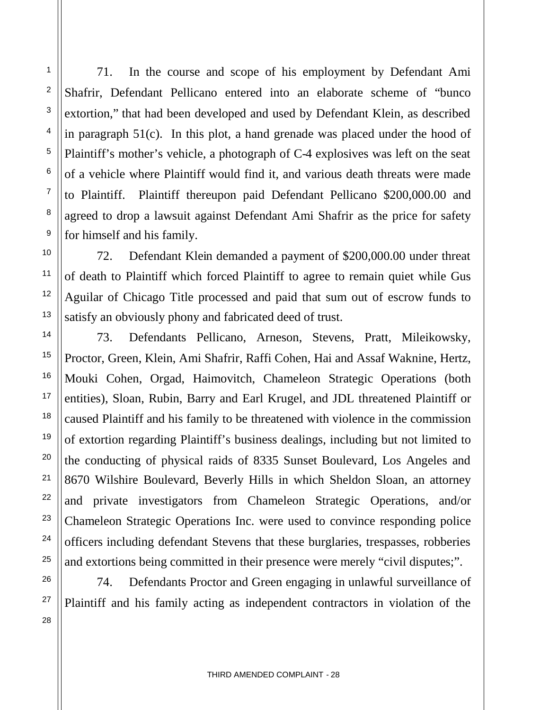71. In the course and scope of his employment by Defendant Ami Shafrir, Defendant Pellicano entered into an elaborate scheme of "bunco extortion," that had been developed and used by Defendant Klein, as described in paragraph 51(c). In this plot, a hand grenade was placed under the hood of Plaintiff's mother's vehicle, a photograph of C-4 explosives was left on the seat of a vehicle where Plaintiff would find it, and various death threats were made to Plaintiff. Plaintiff thereupon paid Defendant Pellicano \$200,000.00 and agreed to drop a lawsuit against Defendant Ami Shafrir as the price for safety for himself and his family.

72. Defendant Klein demanded a payment of \$200,000.00 under threat of death to Plaintiff which forced Plaintiff to agree to remain quiet while Gus Aguilar of Chicago Title processed and paid that sum out of escrow funds to satisfy an obviously phony and fabricated deed of trust.

73. Defendants Pellicano, Arneson, Stevens, Pratt, Mileikowsky, Proctor, Green, Klein, Ami Shafrir, Raffi Cohen, Hai and Assaf Waknine, Hertz, Mouki Cohen, Orgad, Haimovitch, Chameleon Strategic Operations (both entities), Sloan, Rubin, Barry and Earl Krugel, and JDL threatened Plaintiff or caused Plaintiff and his family to be threatened with violence in the commission of extortion regarding Plaintiff's business dealings, including but not limited to the conducting of physical raids of 8335 Sunset Boulevard, Los Angeles and 8670 Wilshire Boulevard, Beverly Hills in which Sheldon Sloan, an attorney and private investigators from Chameleon Strategic Operations, and/or Chameleon Strategic Operations Inc. were used to convince responding police officers including defendant Stevens that these burglaries, trespasses, robberies and extortions being committed in their presence were merely "civil disputes;".

74. Defendants Proctor and Green engaging in unlawful surveillance of Plaintiff and his family acting as independent contractors in violation of the

1

2

3

4

5

6

7

8

9

10

11

12

13

14

15

16

17

18

19

20

21

22

23

24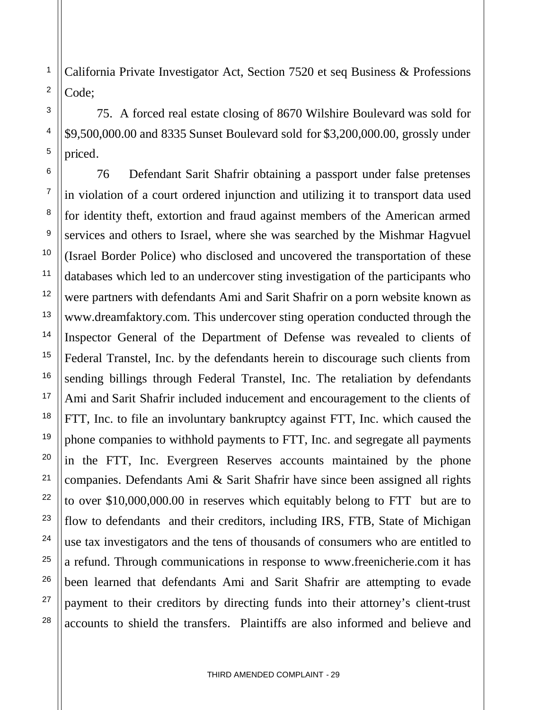California Private Investigator Act, Section 7520 et seq Business & Professions Code;

75. A forced real estate closing of 8670 Wilshire Boulevard was sold for \$9,500,000.00 and 8335 Sunset Boulevard sold for \$3,200,000.00, grossly under priced.

76 Defendant Sarit Shafrir obtaining a passport under false pretenses in violation of a court ordered injunction and utilizing it to transport data used for identity theft, extortion and fraud against members of the American armed services and others to Israel, where she was searched by the Mishmar Hagvuel (Israel Border Police) who disclosed and uncovered the transportation of these databases which led to an undercover sting investigation of the participants who were partners with defendants Ami and Sarit Shafrir on a porn website known as www.dreamfaktory.com. This undercover sting operation conducted through the Inspector General of the Department of Defense was revealed to clients of Federal Transtel, Inc. by the defendants herein to discourage such clients from sending billings through Federal Transtel, Inc. The retaliation by defendants Ami and Sarit Shafrir included inducement and encouragement to the clients of FTT, Inc. to file an involuntary bankruptcy against FTT, Inc. which caused the phone companies to withhold payments to FTT, Inc. and segregate all payments in the FTT, Inc. Evergreen Reserves accounts maintained by the phone companies. Defendants Ami & Sarit Shafrir have since been assigned all rights to over \$10,000,000.00 in reserves which equitably belong to FTT but are to flow to defendants and their creditors, including IRS, FTB, State of Michigan use tax investigators and the tens of thousands of consumers who are entitled to a refund. Through communications in response to www.freenicherie.com it has been learned that defendants Ami and Sarit Shafrir are attempting to evade payment to their creditors by directing funds into their attorney's client-trust accounts to shield the transfers. Plaintiffs are also informed and believe and

25

26

27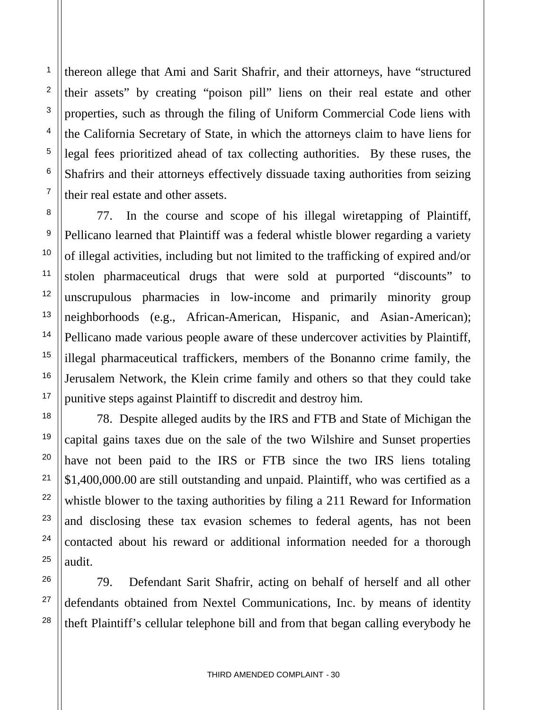thereon allege that Ami and Sarit Shafrir, and their attorneys, have "structured their assets" by creating "poison pill" liens on their real estate and other properties, such as through the filing of Uniform Commercial Code liens with the California Secretary of State, in which the attorneys claim to have liens for legal fees prioritized ahead of tax collecting authorities. By these ruses, the Shafrirs and their attorneys effectively dissuade taxing authorities from seizing their real estate and other assets.

77. In the course and scope of his illegal wiretapping of Plaintiff, Pellicano learned that Plaintiff was a federal whistle blower regarding a variety of illegal activities, including but not limited to the trafficking of expired and/or stolen pharmaceutical drugs that were sold at purported "discounts" to unscrupulous pharmacies in low-income and primarily minority group neighborhoods (e.g., African-American, Hispanic, and Asian-American); Pellicano made various people aware of these undercover activities by Plaintiff, illegal pharmaceutical traffickers, members of the Bonanno crime family, the Jerusalem Network, the Klein crime family and others so that they could take punitive steps against Plaintiff to discredit and destroy him.

78. Despite alleged audits by the IRS and FTB and State of Michigan the capital gains taxes due on the sale of the two Wilshire and Sunset properties have not been paid to the IRS or FTB since the two IRS liens totaling \$1,400,000.00 are still outstanding and unpaid. Plaintiff, who was certified as a whistle blower to the taxing authorities by filing a 211 Reward for Information and disclosing these tax evasion schemes to federal agents, has not been contacted about his reward or additional information needed for a thorough audit.

79. Defendant Sarit Shafrir, acting on behalf of herself and all other defendants obtained from Nextel Communications, Inc. by means of identity theft Plaintiff's cellular telephone bill and from that began calling everybody he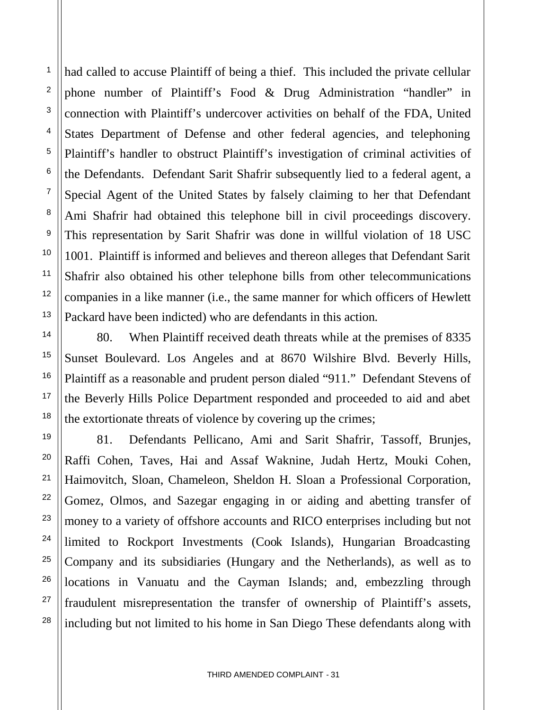had called to accuse Plaintiff of being a thief. This included the private cellular phone number of Plaintiff's Food & Drug Administration "handler" in connection with Plaintiff's undercover activities on behalf of the FDA, United States Department of Defense and other federal agencies, and telephoning Plaintiff's handler to obstruct Plaintiff's investigation of criminal activities of the Defendants. Defendant Sarit Shafrir subsequently lied to a federal agent, a Special Agent of the United States by falsely claiming to her that Defendant Ami Shafrir had obtained this telephone bill in civil proceedings discovery. This representation by Sarit Shafrir was done in willful violation of 18 USC 1001. Plaintiff is informed and believes and thereon alleges that Defendant Sarit Shafrir also obtained his other telephone bills from other telecommunications companies in a like manner (i.e., the same manner for which officers of Hewlett Packard have been indicted) who are defendants in this action.

1

2

3

4

5

6

7

8

9

10

11

12

13

14

15

16

17

18

19

20

21

22

23

24

25

26

27

28

80. When Plaintiff received death threats while at the premises of 8335 Sunset Boulevard. Los Angeles and at 8670 Wilshire Blvd. Beverly Hills, Plaintiff as a reasonable and prudent person dialed "911." Defendant Stevens of the Beverly Hills Police Department responded and proceeded to aid and abet the extortionate threats of violence by covering up the crimes;

81. Defendants Pellicano, Ami and Sarit Shafrir, Tassoff, Brunjes, Raffi Cohen, Taves, Hai and Assaf Waknine, Judah Hertz, Mouki Cohen, Haimovitch, Sloan, Chameleon, Sheldon H. Sloan a Professional Corporation, Gomez, Olmos, and Sazegar engaging in or aiding and abetting transfer of money to a variety of offshore accounts and RICO enterprises including but not limited to Rockport Investments (Cook Islands), Hungarian Broadcasting Company and its subsidiaries (Hungary and the Netherlands), as well as to locations in Vanuatu and the Cayman Islands; and, embezzling through fraudulent misrepresentation the transfer of ownership of Plaintiff's assets, including but not limited to his home in San Diego These defendants along with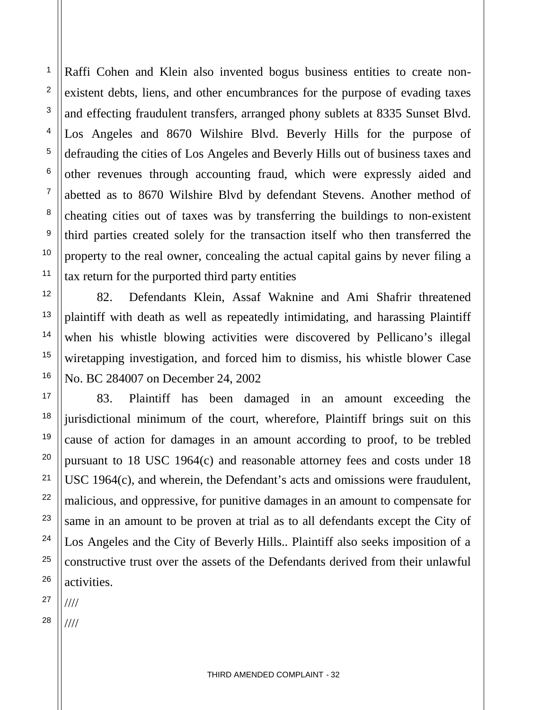Raffi Cohen and Klein also invented bogus business entities to create nonexistent debts, liens, and other encumbrances for the purpose of evading taxes and effecting fraudulent transfers, arranged phony sublets at 8335 Sunset Blvd. Los Angeles and 8670 Wilshire Blvd. Beverly Hills for the purpose of defrauding the cities of Los Angeles and Beverly Hills out of business taxes and other revenues through accounting fraud, which were expressly aided and abetted as to 8670 Wilshire Blvd by defendant Stevens. Another method of cheating cities out of taxes was by transferring the buildings to non-existent third parties created solely for the transaction itself who then transferred the property to the real owner, concealing the actual capital gains by never filing a tax return for the purported third party entities

82. Defendants Klein, Assaf Waknine and Ami Shafrir threatened plaintiff with death as well as repeatedly intimidating, and harassing Plaintiff when his whistle blowing activities were discovered by Pellicano's illegal wiretapping investigation, and forced him to dismiss, his whistle blower Case No. BC 284007 on December 24, 2002

83. Plaintiff has been damaged in an amount exceeding the jurisdictional minimum of the court, wherefore, Plaintiff brings suit on this cause of action for damages in an amount according to proof, to be trebled pursuant to 18 USC 1964(c) and reasonable attorney fees and costs under 18 USC 1964(c), and wherein, the Defendant's acts and omissions were fraudulent, malicious, and oppressive, for punitive damages in an amount to compensate for same in an amount to be proven at trial as to all defendants except the City of Los Angeles and the City of Beverly Hills.. Plaintiff also seeks imposition of a constructive trust over the assets of the Defendants derived from their unlawful activities.

27 ////

1

2

3

4

5

6

7

8

9

10

11

12

13

14

15

16

17

18

19

20

21

22

23

24

25

26

28 ////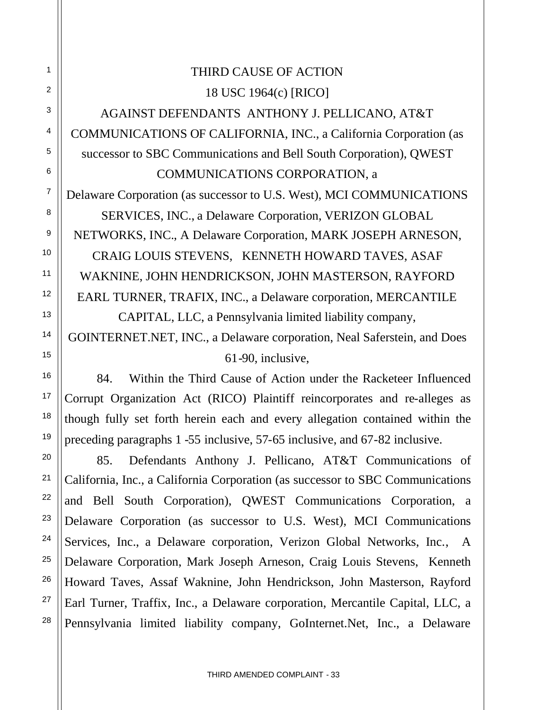# THIRD CAUSE OF ACTION 18 USC 1964(c) [RICO]

AGAINST DEFENDANTS ANTHONY J. PELLICANO, AT&T COMMUNICATIONS OF CALIFORNIA, INC., a California Corporation (as successor to SBC Communications and Bell South Corporation), QWEST COMMUNICATIONS CORPORATION, a

Delaware Corporation (as successor to U.S. West), MCI COMMUNICATIONS SERVICES, INC., a Delaware Corporation, VERIZON GLOBAL NETWORKS, INC., A Delaware Corporation, MARK JOSEPH ARNESON, CRAIG LOUIS STEVENS, KENNETH HOWARD TAVES, ASAF WAKNINE, JOHN HENDRICKSON, JOHN MASTERSON, RAYFORD EARL TURNER, TRAFIX, INC., a Delaware corporation, MERCANTILE CAPITAL, LLC, a Pennsylvania limited liability company,

GOINTERNET.NET, INC., a Delaware corporation, Neal Saferstein, and Does 61-90, inclusive,

84. Within the Third Cause of Action under the Racketeer Influenced Corrupt Organization Act (RICO) Plaintiff reincorporates and re-alleges as though fully set forth herein each and every allegation contained within the preceding paragraphs 1 -55 inclusive, 57-65 inclusive, and 67-82 inclusive.

85. Defendants Anthony J. Pellicano, AT&T Communications of California, Inc., a California Corporation (as successor to SBC Communications and Bell South Corporation), QWEST Communications Corporation, a Delaware Corporation (as successor to U.S. West), MCI Communications Services, Inc., a Delaware corporation, Verizon Global Networks, Inc., A Delaware Corporation, Mark Joseph Arneson, Craig Louis Stevens, Kenneth Howard Taves, Assaf Waknine, John Hendrickson, John Masterson, Rayford Earl Turner, Traffix, Inc., a Delaware corporation, Mercantile Capital, LLC, a Pennsylvania limited liability company, GoInternet.Net, Inc., a Delaware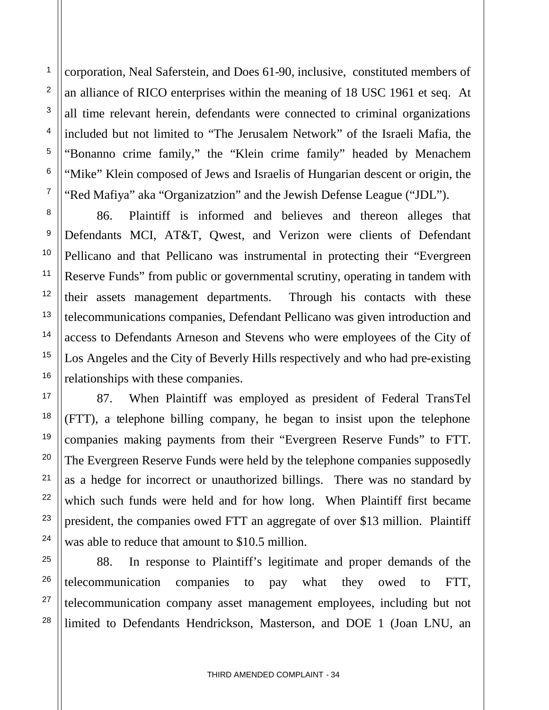corporation, Neal Saferstein, and Does 61-90, inclusive, constituted members of an alliance of RICO enterprises within the meaning of 18 USC 1961 et seq. At all time relevant herein, defendants were connected to criminal organizations included but not limited to "The Jerusalem Network" of the Israeli Mafia, the "Bonanno crime family," the "Klein crime family" headed by Menachem "Mike" Klein composed of Jews and Israelis of Hungarian descent or origin, the "Red Mafiya" aka "Organizatzion" and the Jewish Defense League ("JDL").

86. Plaintiff is informed and believes and thereon alleges that Defendants MCI, AT&T, Qwest, and Verizon were clients of Defendant Pellicano and that Pellicano was instrumental in protecting their "Evergreen Reserve Funds" from public or governmental scrutiny, operating in tandem with their assets management departments. Through his contacts with these telecommunications companies, Defendant Pellicano was given introduction and access to Defendants Arneson and Stevens who were employees of the City of Los Angeles and the City of Beverly Hills respectively and who had pre-existing relationships with these companies.

87. When Plaintiff was employed as president of Federal TransTel (FTT), a telephone billing company, he began to insist upon the telephone companies making payments from their "Evergreen Reserve Funds" to FTT. The Evergreen Reserve Funds were held by the telephone companies supposedly as a hedge for incorrect or unauthorized billings. There was no standard by which such funds were held and for how long. When Plaintiff first became president, the companies owed FTT an aggregate of over \$13 million. Plaintiff was able to reduce that amount to \$10.5 million.

88. In response to Plaintiff's legitimate and proper demands of the telecommunication companies to pay what they owed to FTT, telecommunication company asset management employees, including but not limited to Defendants Hendrickson, Masterson, and DOE 1 (Joan LNU, an

1

2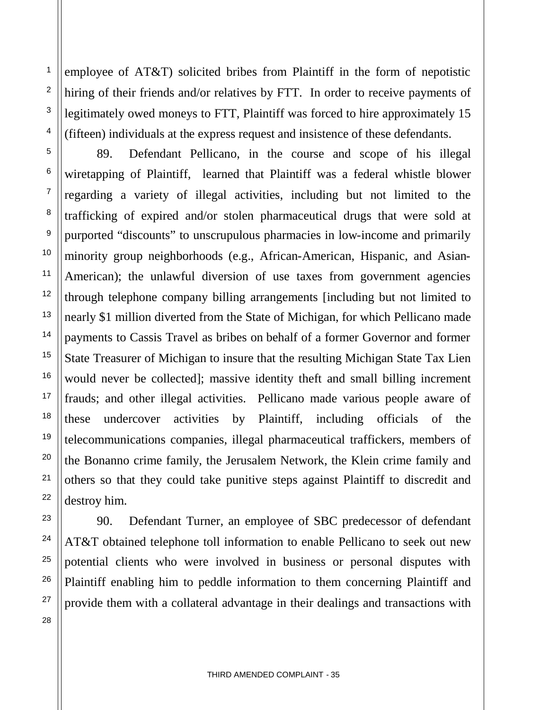employee of AT&T) solicited bribes from Plaintiff in the form of nepotistic hiring of their friends and/or relatives by FTT. In order to receive payments of legitimately owed moneys to FTT, Plaintiff was forced to hire approximately 15 (fifteen) individuals at the express request and insistence of these defendants.

1

2

3

4

5

6

7

8

9

10

11

12

13

14

15

16

17

18

19

20

21

22

23

24

25

26

27

28

89. Defendant Pellicano, in the course and scope of his illegal wiretapping of Plaintiff, learned that Plaintiff was a federal whistle blower regarding a variety of illegal activities, including but not limited to the trafficking of expired and/or stolen pharmaceutical drugs that were sold at purported "discounts" to unscrupulous pharmacies in low-income and primarily minority group neighborhoods (e.g., African-American, Hispanic, and Asian-American); the unlawful diversion of use taxes from government agencies through telephone company billing arrangements [including but not limited to nearly \$1 million diverted from the State of Michigan, for which Pellicano made payments to Cassis Travel as bribes on behalf of a former Governor and former State Treasurer of Michigan to insure that the resulting Michigan State Tax Lien would never be collected]; massive identity theft and small billing increment frauds; and other illegal activities. Pellicano made various people aware of these undercover activities by Plaintiff, including officials of the telecommunications companies, illegal pharmaceutical traffickers, members of the Bonanno crime family, the Jerusalem Network, the Klein crime family and others so that they could take punitive steps against Plaintiff to discredit and destroy him.

90. Defendant Turner, an employee of SBC predecessor of defendant AT&T obtained telephone toll information to enable Pellicano to seek out new potential clients who were involved in business or personal disputes with Plaintiff enabling him to peddle information to them concerning Plaintiff and provide them with a collateral advantage in their dealings and transactions with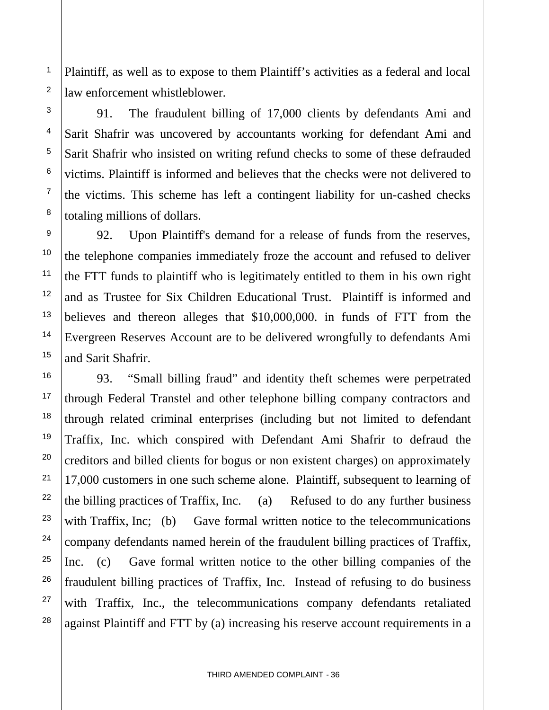Plaintiff, as well as to expose to them Plaintiff's activities as a federal and local law enforcement whistleblower.

1

2

3

4

5

6

7

8

9

10

11

12

13

14

15

16

17

18

19

20

21

22

23

24

25

26

27

28

91. The fraudulent billing of 17,000 clients by defendants Ami and Sarit Shafrir was uncovered by accountants working for defendant Ami and Sarit Shafrir who insisted on writing refund checks to some of these defrauded victims. Plaintiff is informed and believes that the checks were not delivered to the victims. This scheme has left a contingent liability for un-cashed checks totaling millions of dollars.

92. Upon Plaintiff's demand for a release of funds from the reserves, the telephone companies immediately froze the account and refused to deliver the FTT funds to plaintiff who is legitimately entitled to them in his own right and as Trustee for Six Children Educational Trust. Plaintiff is informed and believes and thereon alleges that \$10,000,000. in funds of FTT from the Evergreen Reserves Account are to be delivered wrongfully to defendants Ami and Sarit Shafrir.

93. "Small billing fraud" and identity theft schemes were perpetrated through Federal Transtel and other telephone billing company contractors and through related criminal enterprises (including but not limited to defendant Traffix, Inc. which conspired with Defendant Ami Shafrir to defraud the creditors and billed clients for bogus or non existent charges) on approximately 17,000 customers in one such scheme alone. Plaintiff, subsequent to learning of the billing practices of Traffix, Inc. (a) Refused to do any further business with Traffix, Inc; (b) Gave formal written notice to the telecommunications company defendants named herein of the fraudulent billing practices of Traffix, Inc. (c) Gave formal written notice to the other billing companies of the fraudulent billing practices of Traffix, Inc. Instead of refusing to do business with Traffix, Inc., the telecommunications company defendants retaliated against Plaintiff and FTT by (a) increasing his reserve account requirements in a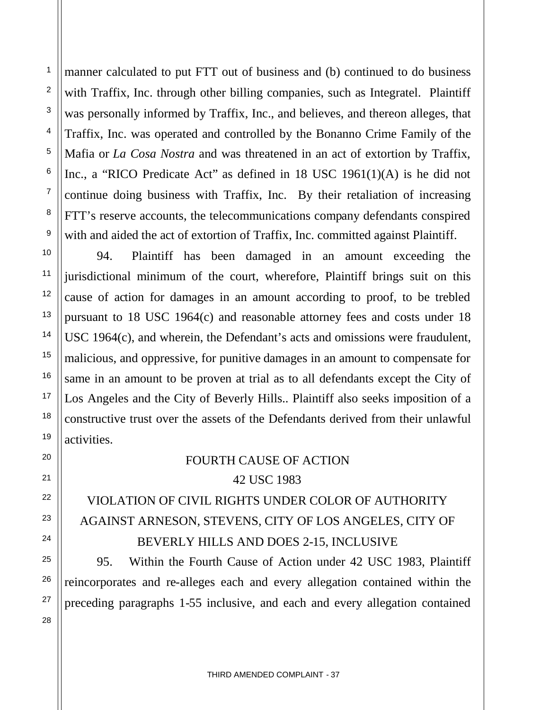manner calculated to put FTT out of business and (b) continued to do business with Traffix, Inc. through other billing companies, such as Integratel. Plaintiff was personally informed by Traffix, Inc., and believes, and thereon alleges, that Traffix, Inc. was operated and controlled by the Bonanno Crime Family of the Mafia or *La Cosa Nostra* and was threatened in an act of extortion by Traffix, Inc., a "RICO Predicate Act" as defined in 18 USC 1961(1)(A) is he did not continue doing business with Traffix, Inc. By their retaliation of increasing FTT's reserve accounts, the telecommunications company defendants conspired with and aided the act of extortion of Traffix, Inc. committed against Plaintiff.

94. Plaintiff has been damaged in an amount exceeding the jurisdictional minimum of the court, wherefore, Plaintiff brings suit on this cause of action for damages in an amount according to proof, to be trebled pursuant to 18 USC 1964(c) and reasonable attorney fees and costs under 18 USC 1964(c), and wherein, the Defendant's acts and omissions were fraudulent, malicious, and oppressive, for punitive damages in an amount to compensate for same in an amount to be proven at trial as to all defendants except the City of Los Angeles and the City of Beverly Hills.. Plaintiff also seeks imposition of a constructive trust over the assets of the Defendants derived from their unlawful activities.

## FOURTH CAUSE OF ACTION 42 USC 1983

# VIOLATION OF CIVIL RIGHTS UNDER COLOR OF AUTHORITY AGAINST ARNESON, STEVENS, CITY OF LOS ANGELES, CITY OF BEVERLY HILLS AND DOES 2-15, INCLUSIVE

95. Within the Fourth Cause of Action under 42 USC 1983, Plaintiff reincorporates and re-alleges each and every allegation contained within the preceding paragraphs 1-55 inclusive, and each and every allegation contained

1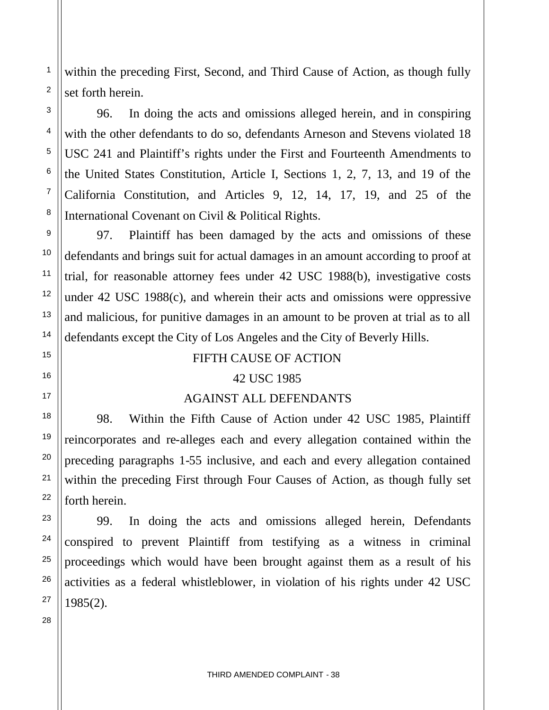within the preceding First, Second, and Third Cause of Action, as though fully set forth herein.

96. In doing the acts and omissions alleged herein, and in conspiring with the other defendants to do so, defendants Arneson and Stevens violated 18 USC 241 and Plaintiff's rights under the First and Fourteenth Amendments to the United States Constitution, Article I, Sections 1, 2, 7, 13, and 19 of the California Constitution, and Articles 9, 12, 14, 17, 19, and 25 of the International Covenant on Civil & Political Rights.

97. Plaintiff has been damaged by the acts and omissions of these defendants and brings suit for actual damages in an amount according to proof at trial, for reasonable attorney fees under 42 USC 1988(b), investigative costs under 42 USC 1988(c), and wherein their acts and omissions were oppressive and malicious, for punitive damages in an amount to be proven at trial as to all defendants except the City of Los Angeles and the City of Beverly Hills.

#### FIFTH CAUSE OF ACTION

#### 42 USC 1985

#### AGAINST ALL DEFENDANTS

98. Within the Fifth Cause of Action under 42 USC 1985, Plaintiff reincorporates and re-alleges each and every allegation contained within the preceding paragraphs 1-55 inclusive, and each and every allegation contained within the preceding First through Four Causes of Action, as though fully set forth herein.

99. In doing the acts and omissions alleged herein, Defendants conspired to prevent Plaintiff from testifying as a witness in criminal proceedings which would have been brought against them as a result of his activities as a federal whistleblower, in violation of his rights under 42 USC 1985(2).

1

2

3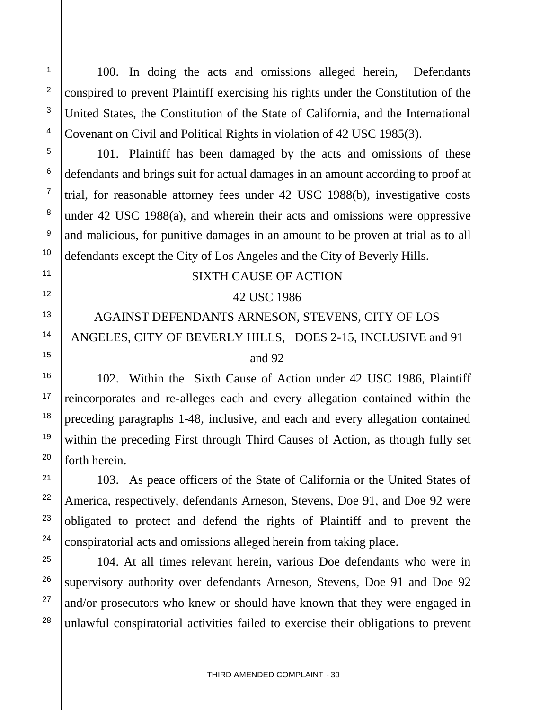100. In doing the acts and omissions alleged herein, Defendants conspired to prevent Plaintiff exercising his rights under the Constitution of the United States, the Constitution of the State of California, and the International Covenant on Civil and Political Rights in violation of 42 USC 1985(3).

101. Plaintiff has been damaged by the acts and omissions of these defendants and brings suit for actual damages in an amount according to proof at trial, for reasonable attorney fees under 42 USC 1988(b), investigative costs under 42 USC 1988(a), and wherein their acts and omissions were oppressive and malicious, for punitive damages in an amount to be proven at trial as to all defendants except the City of Los Angeles and the City of Beverly Hills.

#### SIXTH CAUSE OF ACTION

#### 42 USC 1986

# AGAINST DEFENDANTS ARNESON, STEVENS, CITY OF LOS ANGELES, CITY OF BEVERLY HILLS, DOES 2-15, INCLUSIVE and 91 and 92

102. Within the Sixth Cause of Action under 42 USC 1986, Plaintiff reincorporates and re-alleges each and every allegation contained within the preceding paragraphs 1-48, inclusive, and each and every allegation contained within the preceding First through Third Causes of Action, as though fully set forth herein.

103. As peace officers of the State of California or the United States of America, respectively, defendants Arneson, Stevens, Doe 91, and Doe 92 were obligated to protect and defend the rights of Plaintiff and to prevent the conspiratorial acts and omissions alleged herein from taking place.

104. At all times relevant herein, various Doe defendants who were in supervisory authority over defendants Arneson, Stevens, Doe 91 and Doe 92 and/or prosecutors who knew or should have known that they were engaged in unlawful conspiratorial activities failed to exercise their obligations to prevent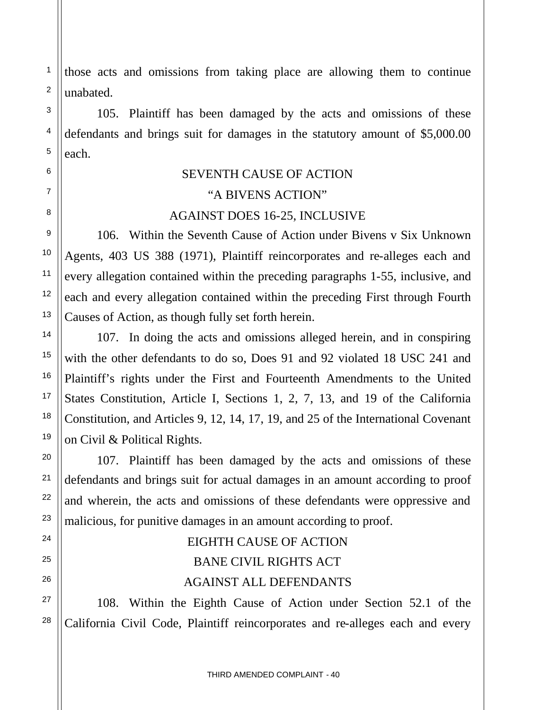those acts and omissions from taking place are allowing them to continue unabated.

1

2

3

4

5

6

7

8

9

10

11

12

13

14

15

16

17

18

19

20

21

22

23

24

25

26

27

28

105. Plaintiff has been damaged by the acts and omissions of these defendants and brings suit for damages in the statutory amount of \$5,000.00 each.

# SEVENTH CAUSE OF ACTION

## "A BIVENS ACTION"

## AGAINST DOES 16-25, INCLUSIVE

106. Within the Seventh Cause of Action under Bivens v Six Unknown Agents, 403 US 388 (1971), Plaintiff reincorporates and re-alleges each and every allegation contained within the preceding paragraphs 1-55, inclusive, and each and every allegation contained within the preceding First through Fourth Causes of Action, as though fully set forth herein.

107. In doing the acts and omissions alleged herein, and in conspiring with the other defendants to do so, Does 91 and 92 violated 18 USC 241 and Plaintiff's rights under the First and Fourteenth Amendments to the United States Constitution, Article I, Sections 1, 2, 7, 13, and 19 of the California Constitution, and Articles 9, 12, 14, 17, 19, and 25 of the International Covenant on Civil & Political Rights.

107. Plaintiff has been damaged by the acts and omissions of these defendants and brings suit for actual damages in an amount according to proof and wherein, the acts and omissions of these defendants were oppressive and malicious, for punitive damages in an amount according to proof.

# EIGHTH CAUSE OF ACTION BANE CIVIL RIGHTS ACT AGAINST ALL DEFENDANTS

108. Within the Eighth Cause of Action under Section 52.1 of the California Civil Code, Plaintiff reincorporates and re-alleges each and every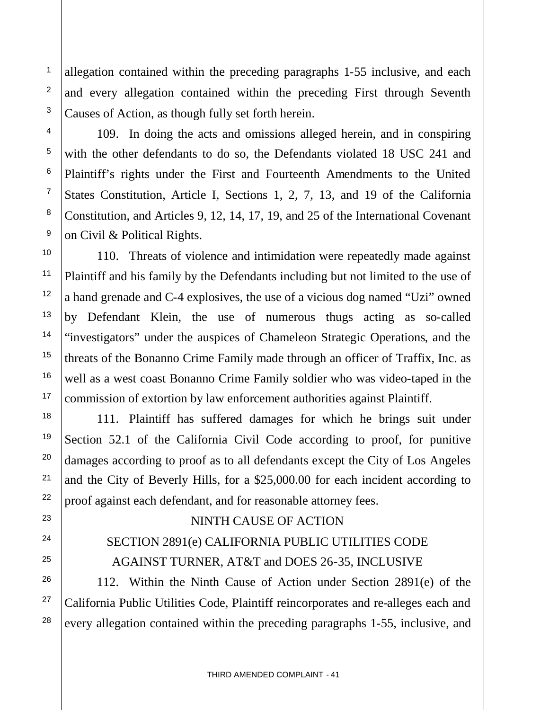allegation contained within the preceding paragraphs 1-55 inclusive, and each and every allegation contained within the preceding First through Seventh Causes of Action, as though fully set forth herein.

109. In doing the acts and omissions alleged herein, and in conspiring with the other defendants to do so, the Defendants violated 18 USC 241 and Plaintiff's rights under the First and Fourteenth Amendments to the United States Constitution, Article I, Sections 1, 2, 7, 13, and 19 of the California Constitution, and Articles 9, 12, 14, 17, 19, and 25 of the International Covenant on Civil & Political Rights.

110. Threats of violence and intimidation were repeatedly made against Plaintiff and his family by the Defendants including but not limited to the use of a hand grenade and C-4 explosives, the use of a vicious dog named "Uzi" owned by Defendant Klein, the use of numerous thugs acting as so-called "investigators" under the auspices of Chameleon Strategic Operations, and the threats of the Bonanno Crime Family made through an officer of Traffix, Inc. as well as a west coast Bonanno Crime Family soldier who was video-taped in the commission of extortion by law enforcement authorities against Plaintiff.

111. Plaintiff has suffered damages for which he brings suit under Section 52.1 of the California Civil Code according to proof, for punitive damages according to proof as to all defendants except the City of Los Angeles and the City of Beverly Hills, for a \$25,000.00 for each incident according to proof against each defendant, and for reasonable attorney fees.

#### NINTH CAUSE OF ACTION

## SECTION 2891(e) CALIFORNIA PUBLIC UTILITIES CODE AGAINST TURNER, AT&T and DOES 26-35, INCLUSIVE

112. Within the Ninth Cause of Action under Section 2891(e) of the California Public Utilities Code, Plaintiff reincorporates and re-alleges each and every allegation contained within the preceding paragraphs 1-55, inclusive, and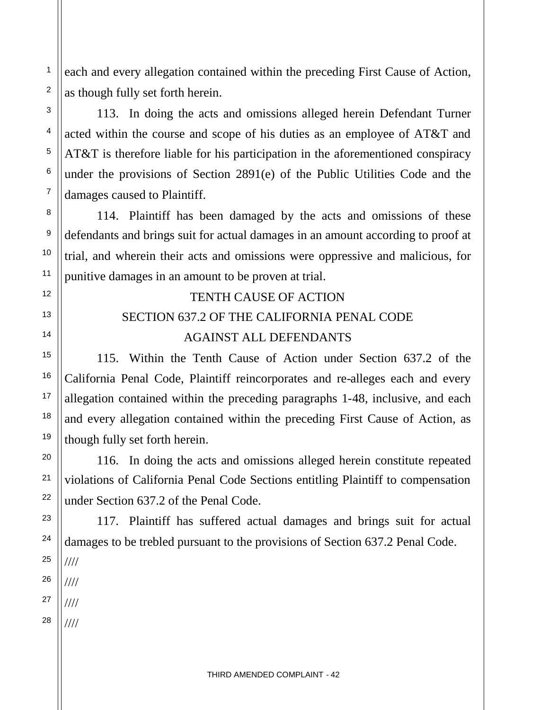each and every allegation contained within the preceding First Cause of Action, as though fully set forth herein.

113. In doing the acts and omissions alleged herein Defendant Turner acted within the course and scope of his duties as an employee of AT&T and AT&T is therefore liable for his participation in the aforementioned conspiracy under the provisions of Section 2891(e) of the Public Utilities Code and the damages caused to Plaintiff.

114. Plaintiff has been damaged by the acts and omissions of these defendants and brings suit for actual damages in an amount according to proof at trial, and wherein their acts and omissions were oppressive and malicious, for punitive damages in an amount to be proven at trial.

# TENTH CAUSE OF ACTION SECTION 637.2 OF THE CALIFORNIA PENAL CODE AGAINST ALL DEFENDANTS

115. Within the Tenth Cause of Action under Section 637.2 of the California Penal Code, Plaintiff reincorporates and re-alleges each and every allegation contained within the preceding paragraphs 1-48, inclusive, and each and every allegation contained within the preceding First Cause of Action, as though fully set forth herein.

116. In doing the acts and omissions alleged herein constitute repeated violations of California Penal Code Sections entitling Plaintiff to compensation under Section 637.2 of the Penal Code.

117. Plaintiff has suffered actual damages and brings suit for actual damages to be trebled pursuant to the provisions of Section 637.2 Penal Code. ////

26 ////

1

2

3

4

5

6

7

8

9

10

11

12

13

14

15

16

17

18

19

20

21

22

23

24

25

27 ////

28 ////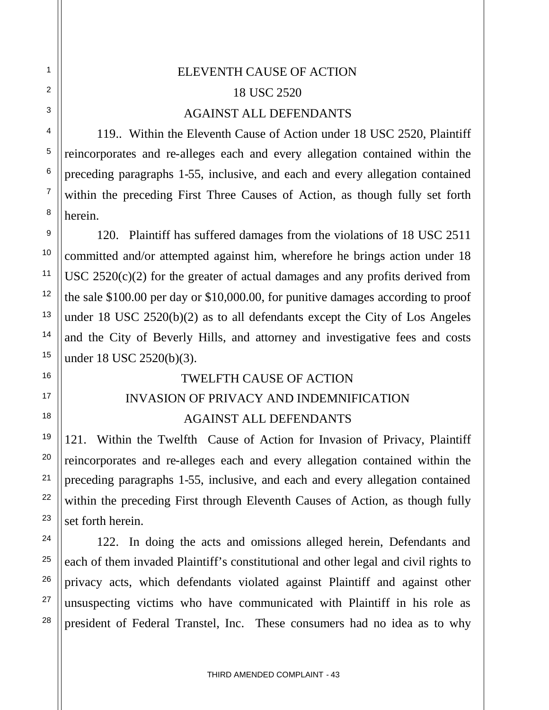# ELEVENTH CAUSE OF ACTION 18 USC 2520 AGAINST ALL DEFENDANTS

119.. Within the Eleventh Cause of Action under 18 USC 2520, Plaintiff reincorporates and re-alleges each and every allegation contained within the preceding paragraphs 1-55, inclusive, and each and every allegation contained within the preceding First Three Causes of Action, as though fully set forth herein.

120. Plaintiff has suffered damages from the violations of 18 USC 2511 committed and/or attempted against him, wherefore he brings action under 18 USC  $2520(c)(2)$  for the greater of actual damages and any profits derived from the sale \$100.00 per day or \$10,000.00, for punitive damages according to proof under 18 USC 2520(b)(2) as to all defendants except the City of Los Angeles and the City of Beverly Hills, and attorney and investigative fees and costs under 18 USC 2520(b)(3).

## TWELFTH CAUSE OF ACTION

# INVASION OF PRIVACY AND INDEMNIFICATION AGAINST ALL DEFENDANTS

121. Within the Twelfth Cause of Action for Invasion of Privacy, Plaintiff reincorporates and re-alleges each and every allegation contained within the preceding paragraphs 1-55, inclusive, and each and every allegation contained within the preceding First through Eleventh Causes of Action, as though fully set forth herein.

122. In doing the acts and omissions alleged herein, Defendants and each of them invaded Plaintiff's constitutional and other legal and civil rights to privacy acts, which defendants violated against Plaintiff and against other unsuspecting victims who have communicated with Plaintiff in his role as president of Federal Transtel, Inc. These consumers had no idea as to why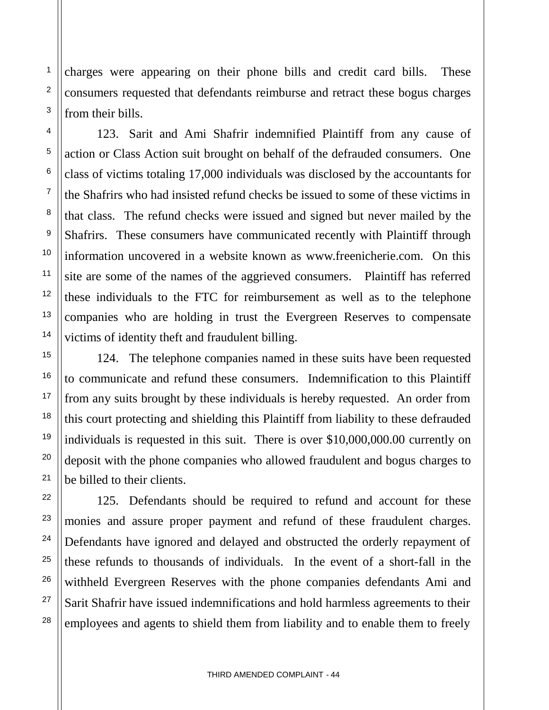charges were appearing on their phone bills and credit card bills. These consumers requested that defendants reimburse and retract these bogus charges from their bills.

1

2

3

4

5

6

7

8

9

10

11

12

13

14

15

16

17

18

19

20

21

22

23

24

25

26

27

28

123. Sarit and Ami Shafrir indemnified Plaintiff from any cause of action or Class Action suit brought on behalf of the defrauded consumers. One class of victims totaling 17,000 individuals was disclosed by the accountants for the Shafrirs who had insisted refund checks be issued to some of these victims in that class. The refund checks were issued and signed but never mailed by the Shafrirs. These consumers have communicated recently with Plaintiff through information uncovered in a website known as www.freenicherie.com. On this site are some of the names of the aggrieved consumers. Plaintiff has referred these individuals to the FTC for reimbursement as well as to the telephone companies who are holding in trust the Evergreen Reserves to compensate victims of identity theft and fraudulent billing.

124. The telephone companies named in these suits have been requested to communicate and refund these consumers. Indemnification to this Plaintiff from any suits brought by these individuals is hereby requested. An order from this court protecting and shielding this Plaintiff from liability to these defrauded individuals is requested in this suit. There is over \$10,000,000.00 currently on deposit with the phone companies who allowed fraudulent and bogus charges to be billed to their clients.

125. Defendants should be required to refund and account for these monies and assure proper payment and refund of these fraudulent charges. Defendants have ignored and delayed and obstructed the orderly repayment of these refunds to thousands of individuals. In the event of a short-fall in the withheld Evergreen Reserves with the phone companies defendants Ami and Sarit Shafrir have issued indemnifications and hold harmless agreements to their employees and agents to shield them from liability and to enable them to freely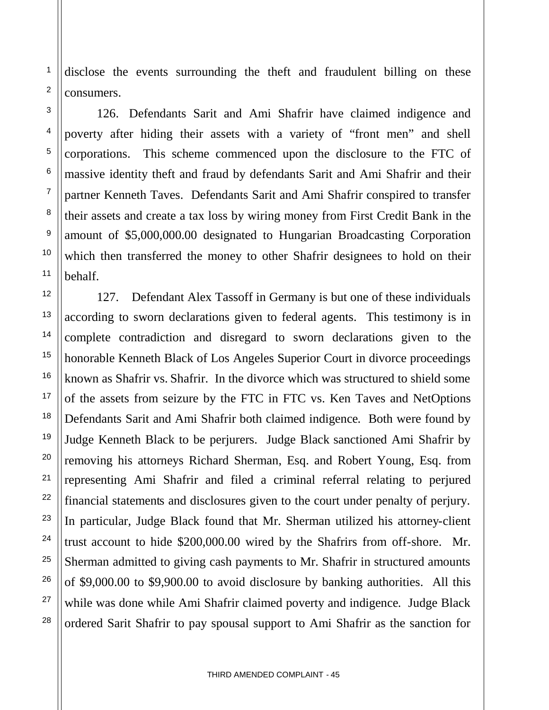disclose the events surrounding the theft and fraudulent billing on these consumers.

1

2

3

4

5

6

7

8

9

10

11

12

13

14

15

16

17

18

19

20

21

22

23

24

25

26

27

28

126. Defendants Sarit and Ami Shafrir have claimed indigence and poverty after hiding their assets with a variety of "front men" and shell corporations. This scheme commenced upon the disclosure to the FTC of massive identity theft and fraud by defendants Sarit and Ami Shafrir and their partner Kenneth Taves. Defendants Sarit and Ami Shafrir conspired to transfer their assets and create a tax loss by wiring money from First Credit Bank in the amount of \$5,000,000.00 designated to Hungarian Broadcasting Corporation which then transferred the money to other Shafrir designees to hold on their behalf.

127. Defendant Alex Tassoff in Germany is but one of these individuals according to sworn declarations given to federal agents. This testimony is in complete contradiction and disregard to sworn declarations given to the honorable Kenneth Black of Los Angeles Superior Court in divorce proceedings known as Shafrir vs. Shafrir. In the divorce which was structured to shield some of the assets from seizure by the FTC in FTC vs. Ken Taves and NetOptions Defendants Sarit and Ami Shafrir both claimed indigence. Both were found by Judge Kenneth Black to be perjurers. Judge Black sanctioned Ami Shafrir by removing his attorneys Richard Sherman, Esq. and Robert Young, Esq. from representing Ami Shafrir and filed a criminal referral relating to perjured financial statements and disclosures given to the court under penalty of perjury. In particular, Judge Black found that Mr. Sherman utilized his attorney-client trust account to hide \$200,000.00 wired by the Shafrirs from off-shore. Mr. Sherman admitted to giving cash payments to Mr. Shafrir in structured amounts of \$9,000.00 to \$9,900.00 to avoid disclosure by banking authorities. All this while was done while Ami Shafrir claimed poverty and indigence. Judge Black ordered Sarit Shafrir to pay spousal support to Ami Shafrir as the sanction for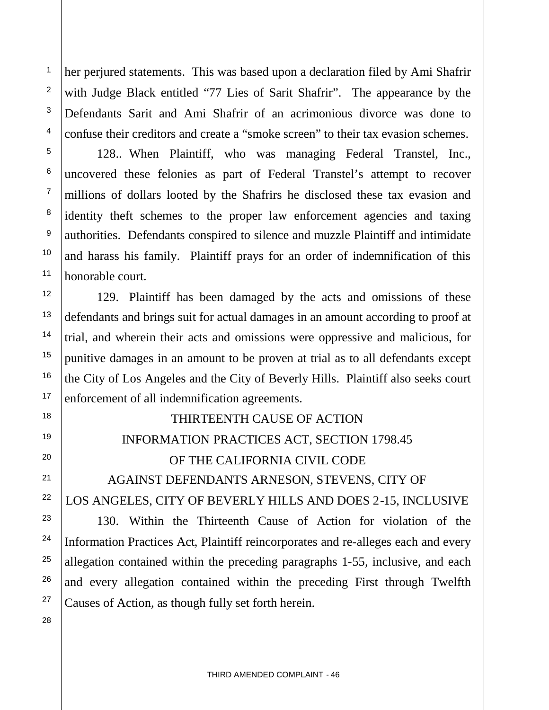her perjured statements. This was based upon a declaration filed by Ami Shafrir with Judge Black entitled "77 Lies of Sarit Shafrir". The appearance by the Defendants Sarit and Ami Shafrir of an acrimonious divorce was done to confuse their creditors and create a "smoke screen" to their tax evasion schemes.

1

2

3

4

5

6

7

8

9

10

11

12

13

14

15

16

17

18

19

20

21

22

23

24

25

26

27

28

128.. When Plaintiff, who was managing Federal Transtel, Inc., uncovered these felonies as part of Federal Transtel's attempt to recover millions of dollars looted by the Shafrirs he disclosed these tax evasion and identity theft schemes to the proper law enforcement agencies and taxing authorities. Defendants conspired to silence and muzzle Plaintiff and intimidate and harass his family. Plaintiff prays for an order of indemnification of this honorable court.

129. Plaintiff has been damaged by the acts and omissions of these defendants and brings suit for actual damages in an amount according to proof at trial, and wherein their acts and omissions were oppressive and malicious, for punitive damages in an amount to be proven at trial as to all defendants except the City of Los Angeles and the City of Beverly Hills. Plaintiff also seeks court enforcement of all indemnification agreements.

# THIRTEENTH CAUSE OF ACTION

## INFORMATION PRACTICES ACT, SECTION 1798.45

## OF THE CALIFORNIA CIVIL CODE

AGAINST DEFENDANTS ARNESON, STEVENS, CITY OF LOS ANGELES, CITY OF BEVERLY HILLS AND DOES 2-15, INCLUSIVE

130. Within the Thirteenth Cause of Action for violation of the Information Practices Act, Plaintiff reincorporates and re-alleges each and every allegation contained within the preceding paragraphs 1-55, inclusive, and each and every allegation contained within the preceding First through Twelfth Causes of Action, as though fully set forth herein.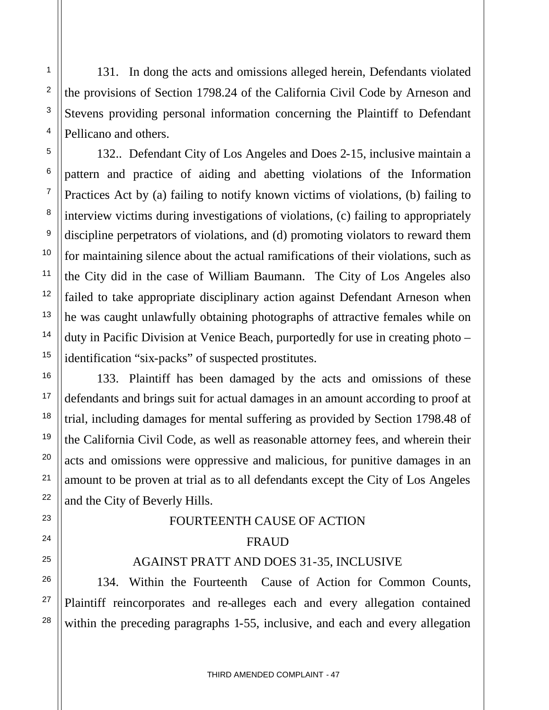131. In dong the acts and omissions alleged herein, Defendants violated the provisions of Section 1798.24 of the California Civil Code by Arneson and Stevens providing personal information concerning the Plaintiff to Defendant Pellicano and others.

132.. Defendant City of Los Angeles and Does 2-15, inclusive maintain a pattern and practice of aiding and abetting violations of the Information Practices Act by (a) failing to notify known victims of violations, (b) failing to interview victims during investigations of violations, (c) failing to appropriately discipline perpetrators of violations, and (d) promoting violators to reward them for maintaining silence about the actual ramifications of their violations, such as the City did in the case of William Baumann. The City of Los Angeles also failed to take appropriate disciplinary action against Defendant Arneson when he was caught unlawfully obtaining photographs of attractive females while on duty in Pacific Division at Venice Beach, purportedly for use in creating photo – identification "six-packs" of suspected prostitutes.

133. Plaintiff has been damaged by the acts and omissions of these defendants and brings suit for actual damages in an amount according to proof at trial, including damages for mental suffering as provided by Section 1798.48 of the California Civil Code, as well as reasonable attorney fees, and wherein their acts and omissions were oppressive and malicious, for punitive damages in an amount to be proven at trial as to all defendants except the City of Los Angeles and the City of Beverly Hills.

#### FOURTEENTH CAUSE OF ACTION

#### FRAUD

#### AGAINST PRATT AND DOES 31-35, INCLUSIVE

134. Within the Fourteenth Cause of Action for Common Counts, Plaintiff reincorporates and re-alleges each and every allegation contained within the preceding paragraphs 1-55, inclusive, and each and every allegation

1

2

3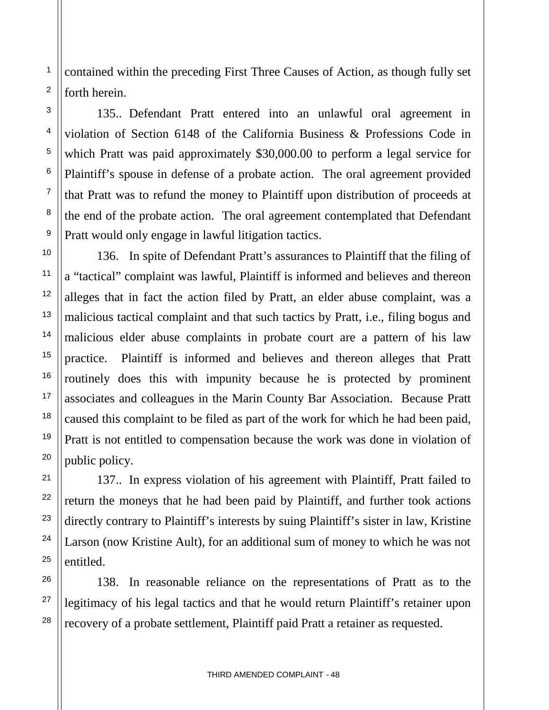contained within the preceding First Three Causes of Action, as though fully set forth herein.

135.. Defendant Pratt entered into an unlawful oral agreement in violation of Section 6148 of the California Business & Professions Code in which Pratt was paid approximately \$30,000.00 to perform a legal service for Plaintiff's spouse in defense of a probate action. The oral agreement provided that Pratt was to refund the money to Plaintiff upon distribution of proceeds at the end of the probate action. The oral agreement contemplated that Defendant Pratt would only engage in lawful litigation tactics.

136. In spite of Defendant Pratt's assurances to Plaintiff that the filing of a "tactical" complaint was lawful, Plaintiff is informed and believes and thereon alleges that in fact the action filed by Pratt, an elder abuse complaint, was a malicious tactical complaint and that such tactics by Pratt, i.e., filing bogus and malicious elder abuse complaints in probate court are a pattern of his law practice. Plaintiff is informed and believes and thereon alleges that Pratt routinely does this with impunity because he is protected by prominent associates and colleagues in the Marin County Bar Association. Because Pratt caused this complaint to be filed as part of the work for which he had been paid, Pratt is not entitled to compensation because the work was done in violation of public policy.

137.. In express violation of his agreement with Plaintiff, Pratt failed to return the moneys that he had been paid by Plaintiff, and further took actions directly contrary to Plaintiff's interests by suing Plaintiff's sister in law, Kristine Larson (now Kristine Ault), for an additional sum of money to which he was not entitled.

138. In reasonable reliance on the representations of Pratt as to the legitimacy of his legal tactics and that he would return Plaintiff's retainer upon recovery of a probate settlement, Plaintiff paid Pratt a retainer as requested.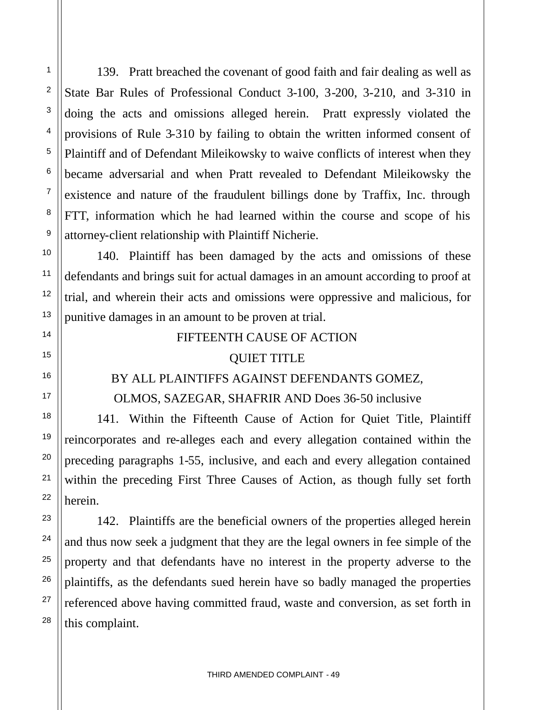139. Pratt breached the covenant of good faith and fair dealing as well as State Bar Rules of Professional Conduct 3-100, 3-200, 3-210, and 3-310 in doing the acts and omissions alleged herein. Pratt expressly violated the provisions of Rule 3-310 by failing to obtain the written informed consent of Plaintiff and of Defendant Mileikowsky to waive conflicts of interest when they became adversarial and when Pratt revealed to Defendant Mileikowsky the existence and nature of the fraudulent billings done by Traffix, Inc. through FTT, information which he had learned within the course and scope of his attorney-client relationship with Plaintiff Nicherie.

140. Plaintiff has been damaged by the acts and omissions of these defendants and brings suit for actual damages in an amount according to proof at trial, and wherein their acts and omissions were oppressive and malicious, for punitive damages in an amount to be proven at trial.

## FIFTEENTH CAUSE OF ACTION

#### QUIET TITLE

## BY ALL PLAINTIFFS AGAINST DEFENDANTS GOMEZ, OLMOS, SAZEGAR, SHAFRIR AND Does 36-50 inclusive

141. Within the Fifteenth Cause of Action for Quiet Title, Plaintiff reincorporates and re-alleges each and every allegation contained within the preceding paragraphs 1-55, inclusive, and each and every allegation contained within the preceding First Three Causes of Action, as though fully set forth herein.

142. Plaintiffs are the beneficial owners of the properties alleged herein and thus now seek a judgment that they are the legal owners in fee simple of the property and that defendants have no interest in the property adverse to the plaintiffs, as the defendants sued herein have so badly managed the properties referenced above having committed fraud, waste and conversion, as set forth in this complaint.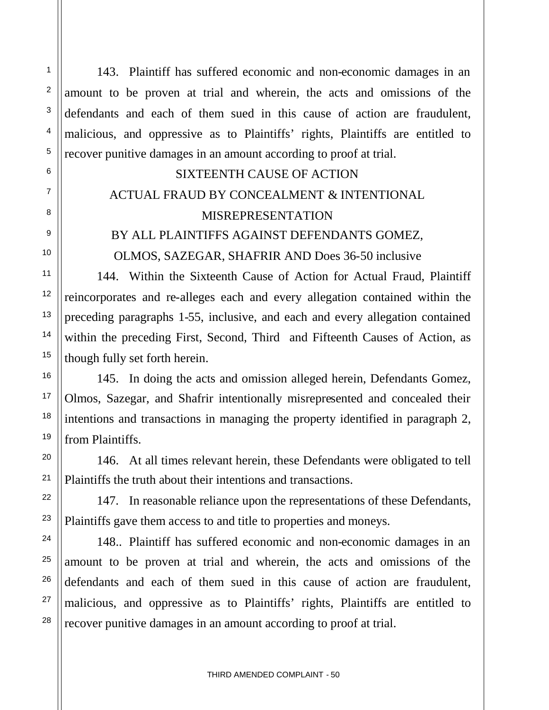143. Plaintiff has suffered economic and non-economic damages in an amount to be proven at trial and wherein, the acts and omissions of the defendants and each of them sued in this cause of action are fraudulent, malicious, and oppressive as to Plaintiffs' rights, Plaintiffs are entitled to recover punitive damages in an amount according to proof at trial.

#### SIXTEENTH CAUSE OF ACTION

# ACTUAL FRAUD BY CONCEALMENT & INTENTIONAL MISREPRESENTATION

## BY ALL PLAINTIFFS AGAINST DEFENDANTS GOMEZ, OLMOS, SAZEGAR, SHAFRIR AND Does 36-50 inclusive

144. Within the Sixteenth Cause of Action for Actual Fraud, Plaintiff reincorporates and re-alleges each and every allegation contained within the preceding paragraphs 1-55, inclusive, and each and every allegation contained within the preceding First, Second, Third and Fifteenth Causes of Action, as though fully set forth herein.

145. In doing the acts and omission alleged herein, Defendants Gomez, Olmos, Sazegar, and Shafrir intentionally misrepresented and concealed their intentions and transactions in managing the property identified in paragraph 2, from Plaintiffs.

146. At all times relevant herein, these Defendants were obligated to tell Plaintiffs the truth about their intentions and transactions.

147. In reasonable reliance upon the representations of these Defendants, Plaintiffs gave them access to and title to properties and moneys.

148.. Plaintiff has suffered economic and non-economic damages in an amount to be proven at trial and wherein, the acts and omissions of the defendants and each of them sued in this cause of action are fraudulent, malicious, and oppressive as to Plaintiffs' rights, Plaintiffs are entitled to recover punitive damages in an amount according to proof at trial.

1

2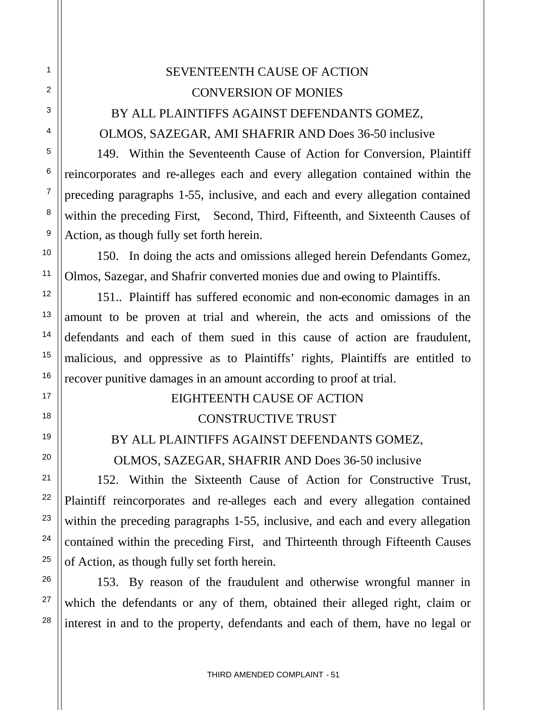# SEVENTEENTH CAUSE OF ACTION CONVERSION OF MONIES BY ALL PLAINTIFFS AGAINST DEFENDANTS GOMEZ,

1

2

3

4

5

6

7

8

9

10

11

12

13

14

15

16

17

18

19

20

21

22

23

24

25

26

27

28

## OLMOS, SAZEGAR, AMI SHAFRIR AND Does 36-50 inclusive

149. Within the Seventeenth Cause of Action for Conversion, Plaintiff reincorporates and re-alleges each and every allegation contained within the preceding paragraphs 1-55, inclusive, and each and every allegation contained within the preceding First, Second, Third, Fifteenth, and Sixteenth Causes of Action, as though fully set forth herein.

150. In doing the acts and omissions alleged herein Defendants Gomez, Olmos, Sazegar, and Shafrir converted monies due and owing to Plaintiffs.

151.. Plaintiff has suffered economic and non-economic damages in an amount to be proven at trial and wherein, the acts and omissions of the defendants and each of them sued in this cause of action are fraudulent, malicious, and oppressive as to Plaintiffs' rights, Plaintiffs are entitled to recover punitive damages in an amount according to proof at trial.

## EIGHTEENTH CAUSE OF ACTION

## CONSTRUCTIVE TRUST

## BY ALL PLAINTIFFS AGAINST DEFENDANTS GOMEZ,

OLMOS, SAZEGAR, SHAFRIR AND Does 36-50 inclusive

152. Within the Sixteenth Cause of Action for Constructive Trust, Plaintiff reincorporates and re-alleges each and every allegation contained within the preceding paragraphs 1-55, inclusive, and each and every allegation contained within the preceding First, and Thirteenth through Fifteenth Causes of Action, as though fully set forth herein.

153. By reason of the fraudulent and otherwise wrongful manner in which the defendants or any of them, obtained their alleged right, claim or interest in and to the property, defendants and each of them, have no legal or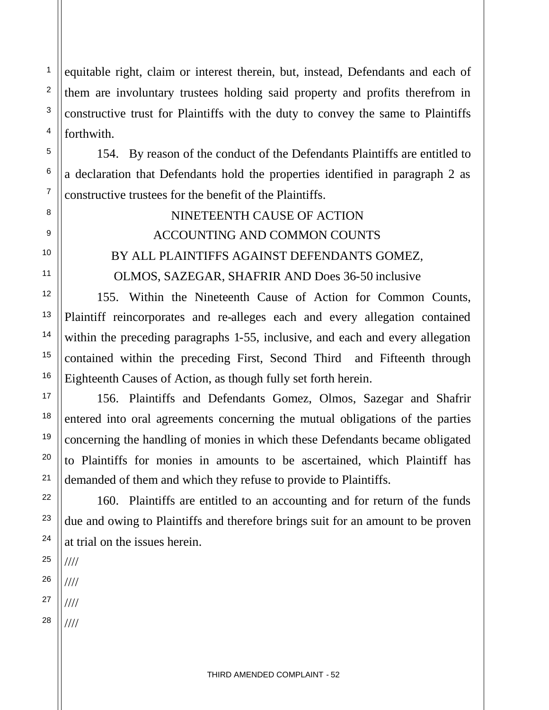equitable right, claim or interest therein, but, instead, Defendants and each of them are involuntary trustees holding said property and profits therefrom in constructive trust for Plaintiffs with the duty to convey the same to Plaintiffs forthwith.

154. By reason of the conduct of the Defendants Plaintiffs are entitled to a declaration that Defendants hold the properties identified in paragraph 2 as constructive trustees for the benefit of the Plaintiffs.

# NINETEENTH CAUSE OF ACTION ACCOUNTING AND COMMON COUNTS BY ALL PLAINTIFFS AGAINST DEFENDANTS GOMEZ, OLMOS, SAZEGAR, SHAFRIR AND Does 36-50 inclusive

155. Within the Nineteenth Cause of Action for Common Counts, Plaintiff reincorporates and re-alleges each and every allegation contained within the preceding paragraphs 1-55, inclusive, and each and every allegation contained within the preceding First, Second Third and Fifteenth through Eighteenth Causes of Action, as though fully set forth herein.

156. Plaintiffs and Defendants Gomez, Olmos, Sazegar and Shafrir entered into oral agreements concerning the mutual obligations of the parties concerning the handling of monies in which these Defendants became obligated to Plaintiffs for monies in amounts to be ascertained, which Plaintiff has demanded of them and which they refuse to provide to Plaintiffs.

160. Plaintiffs are entitled to an accounting and for return of the funds due and owing to Plaintiffs and therefore brings suit for an amount to be proven at trial on the issues herein.

25 26 //// ////

1

2

3

4

5

6

7

8

9

10

11

12

13

14

15

16

17

18

19

20

21

22

23

24

27 ////

28 ////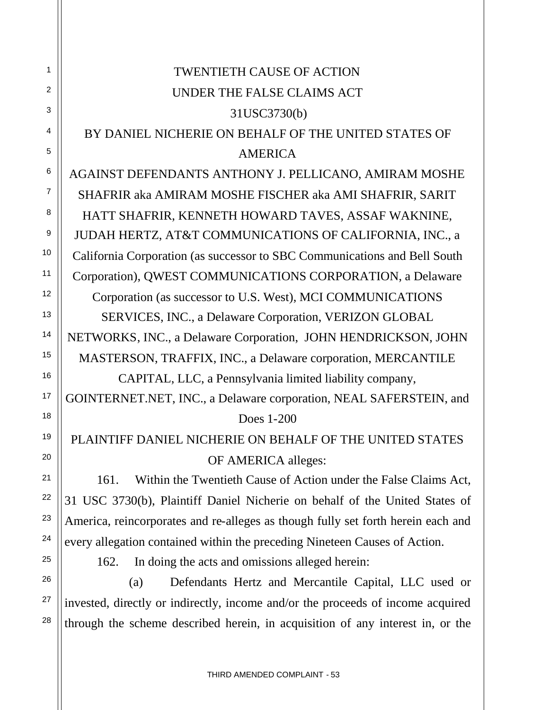|            | <b>TWENTIETH CAUSE OF ACTION</b>                                                 |  |
|------------|----------------------------------------------------------------------------------|--|
|            | UNDER THE FALSE CLAIMS ACT                                                       |  |
|            | 31USC3730(b)                                                                     |  |
|            | BY DANIEL NICHERIE ON BEHALF OF THE UNITED STATES OF                             |  |
|            | <b>AMERICA</b>                                                                   |  |
|            | AGAINST DEFENDANTS ANTHONY J. PELLICANO, AMIRAM MOSHE                            |  |
|            | SHAFRIR aka AMIRAM MOSHE FISCHER aka AMI SHAFRIR, SARIT                          |  |
|            | HATT SHAFRIR, KENNETH HOWARD TAVES, ASSAF WAKNINE,                               |  |
|            | JUDAH HERTZ, AT&T COMMUNICATIONS OF CALIFORNIA, INC., a                          |  |
|            | California Corporation (as successor to SBC Communications and Bell South        |  |
|            | Corporation), QWEST COMMUNICATIONS CORPORATION, a Delaware                       |  |
|            | Corporation (as successor to U.S. West), MCI COMMUNICATIONS                      |  |
|            | SERVICES, INC., a Delaware Corporation, VERIZON GLOBAL                           |  |
|            | NETWORKS, INC., a Delaware Corporation, JOHN HENDRICKSON, JOHN                   |  |
|            | MASTERSON, TRAFFIX, INC., a Delaware corporation, MERCANTILE                     |  |
|            | CAPITAL, LLC, a Pennsylvania limited liability company,                          |  |
|            | GOINTERNET.NET, INC., a Delaware corporation, NEAL SAFERSTEIN, and               |  |
| Does 1-200 |                                                                                  |  |
|            | PLAINTIFF DANIEL NICHERIE ON BEHALF OF THE UNITED STATES                         |  |
|            | OF AMERICA alleges:                                                              |  |
|            | Within the Twentieth Cause of Action under the False Claims Act,<br>161.         |  |
|            | 31 USC 3730(b), Plaintiff Daniel Nicherie on behalf of the United States of      |  |
|            | America, reincorporates and re-alleges as though fully set forth herein each and |  |
|            | every allegation contained within the preceding Nineteen Causes of Action.       |  |
|            | In doing the acts and omissions alleged herein:<br>162.                          |  |
|            | Defendants Hertz and Mercantile Capital, LLC used or<br>(a)                      |  |
|            |                                                                                  |  |

1

2

3

4

5

6

7

8

9

10

11

12

13

14

15

16

17

18

19

20

21

22

23

24

25

26

27

28

invested, directly or indirectly, income and/or the proceeds of income acquired through the scheme described herein, in acquisition of any interest in, or the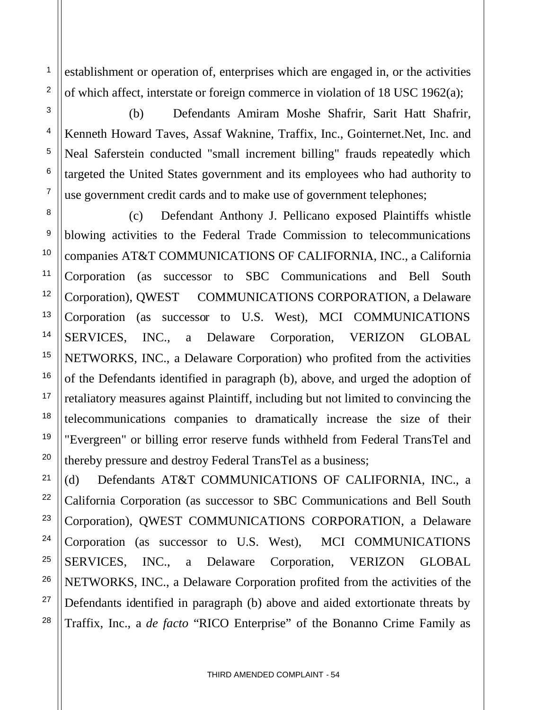establishment or operation of, enterprises which are engaged in, or the activities of which affect, interstate or foreign commerce in violation of 18 USC 1962(a);

1

2

3

4

5

6

7

8

9

10

11

12

13

14

15

16

17

18

19

20

21

22

23

24

25

26

27

28

(b) Defendants Amiram Moshe Shafrir, Sarit Hatt Shafrir, Kenneth Howard Taves, Assaf Waknine, Traffix, Inc., Gointernet.Net, Inc. and Neal Saferstein conducted "small increment billing" frauds repeatedly which targeted the United States government and its employees who had authority to use government credit cards and to make use of government telephones;

(c) Defendant Anthony J. Pellicano exposed Plaintiffs whistle blowing activities to the Federal Trade Commission to telecommunications companies AT&T COMMUNICATIONS OF CALIFORNIA, INC., a California Corporation (as successor to SBC Communications and Bell South Corporation), QWEST COMMUNICATIONS CORPORATION, a Delaware Corporation (as successor to U.S. West), MCI COMMUNICATIONS SERVICES, INC., a Delaware Corporation, VERIZON GLOBAL NETWORKS, INC., a Delaware Corporation) who profited from the activities of the Defendants identified in paragraph (b), above, and urged the adoption of retaliatory measures against Plaintiff, including but not limited to convincing the telecommunications companies to dramatically increase the size of their "Evergreen" or billing error reserve funds withheld from Federal TransTel and thereby pressure and destroy Federal TransTel as a business;

(d) Defendants AT&T COMMUNICATIONS OF CALIFORNIA, INC., a California Corporation (as successor to SBC Communications and Bell South Corporation), QWEST COMMUNICATIONS CORPORATION, a Delaware Corporation (as successor to U.S. West), MCI COMMUNICATIONS SERVICES, INC., a Delaware Corporation, VERIZON GLOBAL NETWORKS, INC., a Delaware Corporation profited from the activities of the Defendants identified in paragraph (b) above and aided extortionate threats by Traffix, Inc., a *de facto* "RICO Enterprise" of the Bonanno Crime Family as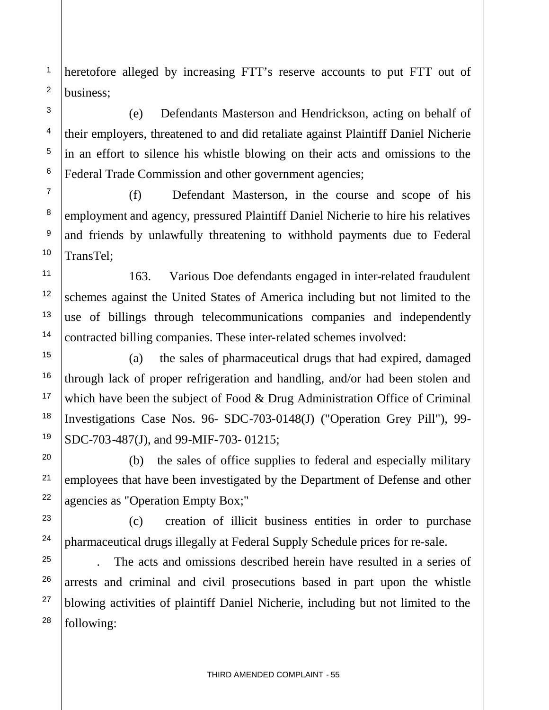heretofore alleged by increasing FTT's reserve accounts to put FTT out of business;

(e) Defendants Masterson and Hendrickson, acting on behalf of their employers, threatened to and did retaliate against Plaintiff Daniel Nicherie in an effort to silence his whistle blowing on their acts and omissions to the Federal Trade Commission and other government agencies;

(f) Defendant Masterson, in the course and scope of his employment and agency, pressured Plaintiff Daniel Nicherie to hire his relatives and friends by unlawfully threatening to withhold payments due to Federal TransTel;

163. Various Doe defendants engaged in inter-related fraudulent schemes against the United States of America including but not limited to the use of billings through telecommunications companies and independently contracted billing companies. These inter-related schemes involved:

(a) the sales of pharmaceutical drugs that had expired, damaged through lack of proper refrigeration and handling, and/or had been stolen and which have been the subject of Food & Drug Administration Office of Criminal Investigations Case Nos. 96- SDC-703-0148(J) ("Operation Grey Pill"), 99- SDC-703-487(J), and 99-MIF-703- 01215;

(b) the sales of office supplies to federal and especially military employees that have been investigated by the Department of Defense and other agencies as "Operation Empty Box;"

(c) creation of illicit business entities in order to purchase pharmaceutical drugs illegally at Federal Supply Schedule prices for re-sale.

. The acts and omissions described herein have resulted in a series of arrests and criminal and civil prosecutions based in part upon the whistle blowing activities of plaintiff Daniel Nicherie, including but not limited to the following: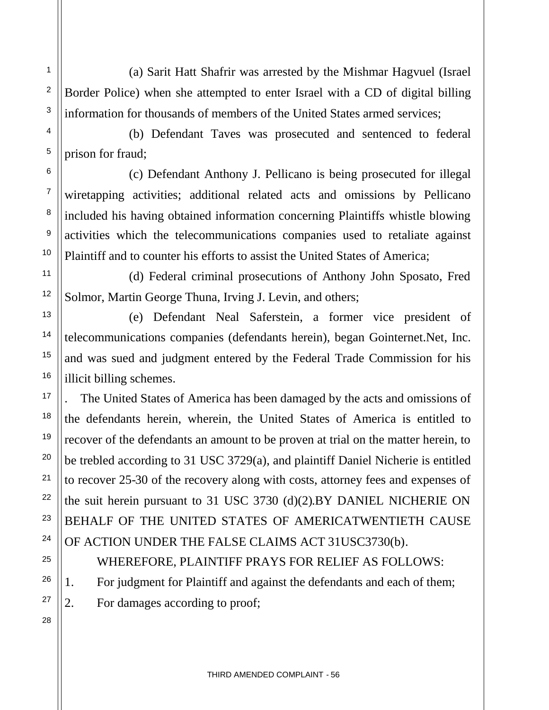(a) Sarit Hatt Shafrir was arrested by the Mishmar Hagvuel (Israel Border Police) when she attempted to enter Israel with a CD of digital billing information for thousands of members of the United States armed services;

(b) Defendant Taves was prosecuted and sentenced to federal prison for fraud;

(c) Defendant Anthony J. Pellicano is being prosecuted for illegal wiretapping activities; additional related acts and omissions by Pellicano included his having obtained information concerning Plaintiffs whistle blowing activities which the telecommunications companies used to retaliate against Plaintiff and to counter his efforts to assist the United States of America;

(d) Federal criminal prosecutions of Anthony John Sposato, Fred Solmor, Martin George Thuna, Irving J. Levin, and others;

(e) Defendant Neal Saferstein, a former vice president of telecommunications companies (defendants herein), began Gointernet.Net, Inc. and was sued and judgment entered by the Federal Trade Commission for his illicit billing schemes.

. The United States of America has been damaged by the acts and omissions of the defendants herein, wherein, the United States of America is entitled to recover of the defendants an amount to be proven at trial on the matter herein, to be trebled according to 31 USC 3729(a), and plaintiff Daniel Nicherie is entitled to recover 25-30 of the recovery along with costs, attorney fees and expenses of the suit herein pursuant to 31 USC 3730 (d)(2).BY DANIEL NICHERIE ON BEHALF OF THE UNITED STATES OF AMERICATWENTIETH CAUSE OF ACTION UNDER THE FALSE CLAIMS ACT 31USC3730(b).

WHEREFORE, PLAINTIFF PRAYS FOR RELIEF AS FOLLOWS:

1. For judgment for Plaintiff and against the defendants and each of them;

2. For damages according to proof;

28

1

2

3

4

5

6

7

8

9

10

11

12

13

14

15

16

17

18

19

20

21

22

23

24

25

26